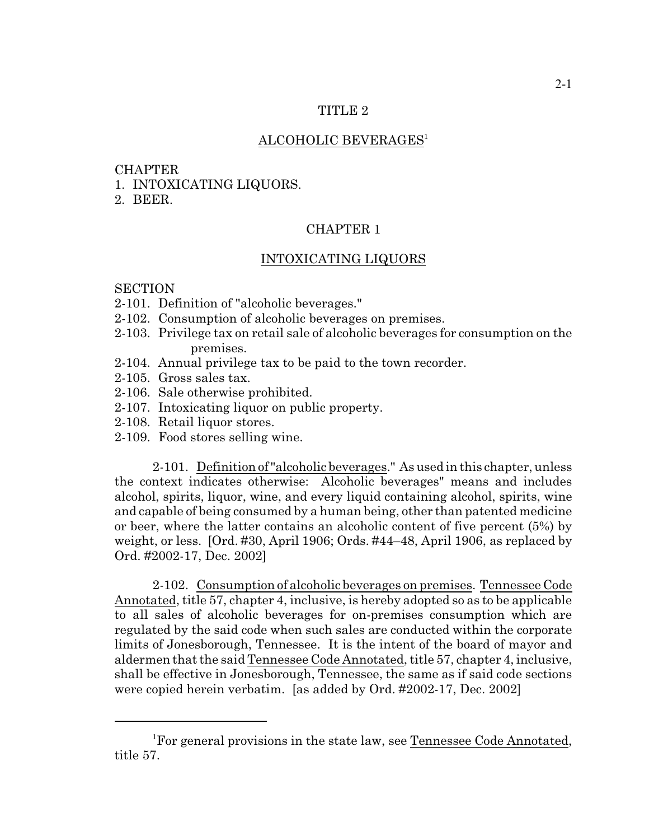## TITLE 2

# ALCOHOLIC BEVERAGES<sup>1</sup>

# **CHAPTER**

- 1. INTOXICATING LIQUORS.
- 2. BEER.

# CHAPTER 1

#### INTOXICATING LIQUORS

#### **SECTION**

- 2-101. Definition of "alcoholic beverages."
- 2-102. Consumption of alcoholic beverages on premises.
- 2-103. Privilege tax on retail sale of alcoholic beverages for consumption on the premises.
- 2-104. Annual privilege tax to be paid to the town recorder.
- 2-105. Gross sales tax.
- 2-106. Sale otherwise prohibited.
- 2-107. Intoxicating liquor on public property.
- 2-108. Retail liquor stores.
- 2-109. Food stores selling wine.

2-101. Definition of "alcoholic beverages." As used in this chapter, unless the context indicates otherwise: Alcoholic beverages" means and includes alcohol, spirits, liquor, wine, and every liquid containing alcohol, spirits, wine and capable of being consumed by a human being, other than patented medicine or beer, where the latter contains an alcoholic content of five percent (5%) by weight, or less. [Ord. #30, April 1906; Ords. #44–48, April 1906, as replaced by Ord. #2002-17, Dec. 2002]

2-102. Consumption of alcoholic beverages on premises. Tennessee Code Annotated, title 57, chapter 4, inclusive, is hereby adopted so as to be applicable to all sales of alcoholic beverages for on-premises consumption which are regulated by the said code when such sales are conducted within the corporate limits of Jonesborough, Tennessee. It is the intent of the board of mayor and aldermen that the said Tennessee Code Annotated, title 57, chapter 4, inclusive, shall be effective in Jonesborough, Tennessee, the same as if said code sections were copied herein verbatim. [as added by Ord. #2002-17, Dec. 2002]

<sup>1</sup>For general provisions in the state law, see Tennessee Code Annotated, title 57.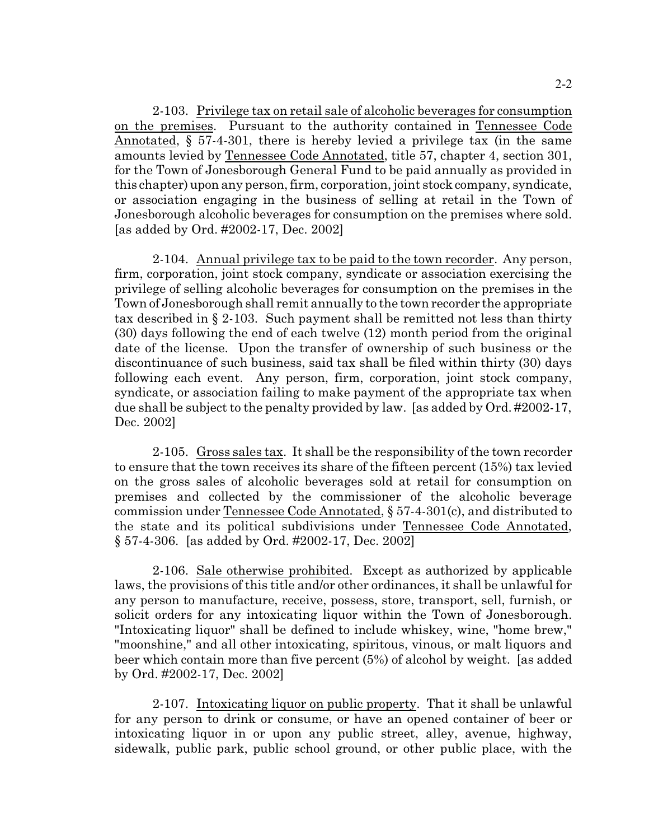2-2

2-103. Privilege tax on retail sale of alcoholic beverages for consumption on the premises. Pursuant to the authority contained in Tennessee Code Annotated, § 57-4-301, there is hereby levied a privilege tax (in the same amounts levied by Tennessee Code Annotated, title 57, chapter 4, section 301, for the Town of Jonesborough General Fund to be paid annually as provided in this chapter) upon any person, firm, corporation, joint stock company, syndicate, or association engaging in the business of selling at retail in the Town of Jonesborough alcoholic beverages for consumption on the premises where sold. [as added by Ord. #2002-17, Dec. 2002]

2-104. Annual privilege tax to be paid to the town recorder. Any person, firm, corporation, joint stock company, syndicate or association exercising the privilege of selling alcoholic beverages for consumption on the premises in the Town of Jonesborough shall remit annually to the town recorder the appropriate tax described in § 2-103. Such payment shall be remitted not less than thirty (30) days following the end of each twelve (12) month period from the original date of the license. Upon the transfer of ownership of such business or the discontinuance of such business, said tax shall be filed within thirty (30) days following each event. Any person, firm, corporation, joint stock company, syndicate, or association failing to make payment of the appropriate tax when due shall be subject to the penalty provided by law. [as added by Ord. #2002-17, Dec. 2002]

2-105. Gross sales tax. It shall be the responsibility of the town recorder to ensure that the town receives its share of the fifteen percent (15%) tax levied on the gross sales of alcoholic beverages sold at retail for consumption on premises and collected by the commissioner of the alcoholic beverage commission under Tennessee Code Annotated, § 57-4-301(c), and distributed to the state and its political subdivisions under Tennessee Code Annotated, § 57-4-306. [as added by Ord. #2002-17, Dec. 2002]

2-106. Sale otherwise prohibited. Except as authorized by applicable laws, the provisions of this title and/or other ordinances, it shall be unlawful for any person to manufacture, receive, possess, store, transport, sell, furnish, or solicit orders for any intoxicating liquor within the Town of Jonesborough. "Intoxicating liquor" shall be defined to include whiskey, wine, "home brew," "moonshine," and all other intoxicating, spiritous, vinous, or malt liquors and beer which contain more than five percent (5%) of alcohol by weight. [as added by Ord. #2002-17, Dec. 2002]

2-107. Intoxicating liquor on public property. That it shall be unlawful for any person to drink or consume, or have an opened container of beer or intoxicating liquor in or upon any public street, alley, avenue, highway, sidewalk, public park, public school ground, or other public place, with the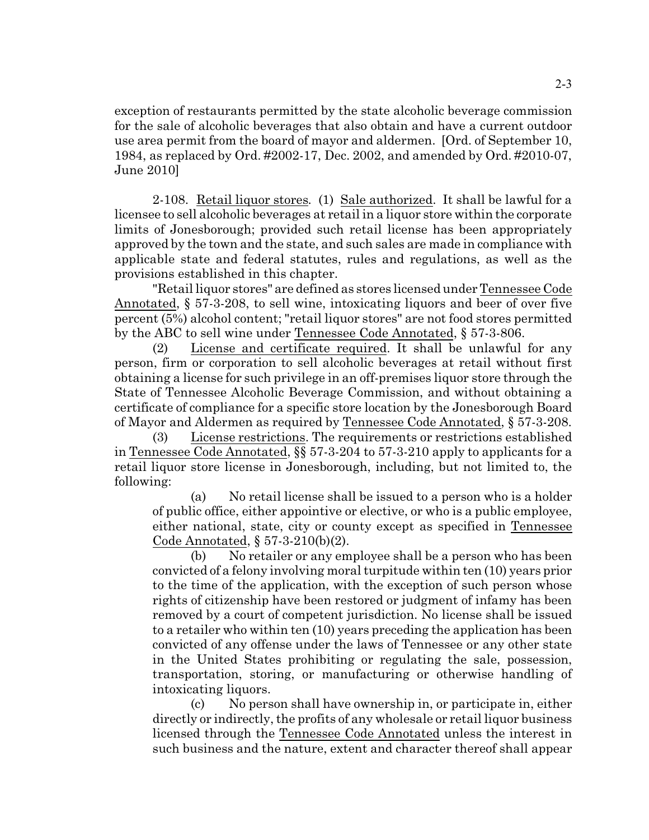exception of restaurants permitted by the state alcoholic beverage commission for the sale of alcoholic beverages that also obtain and have a current outdoor use area permit from the board of mayor and aldermen. [Ord. of September 10, 1984, as replaced by Ord. #2002-17, Dec. 2002, and amended by Ord. #2010-07, June 2010]

2-108. Retail liquor stores*.* (1) Sale authorized. It shall be lawful for a licensee to sell alcoholic beverages at retail in a liquor store within the corporate limits of Jonesborough; provided such retail license has been appropriately approved by the town and the state, and such sales are made in compliance with applicable state and federal statutes, rules and regulations, as well as the provisions established in this chapter.

"Retail liquor stores" are defined as stores licensed under Tennessee Code Annotated, § 57-3-208, to sell wine, intoxicating liquors and beer of over five percent (5%) alcohol content; "retail liquor stores" are not food stores permitted by the ABC to sell wine under Tennessee Code Annotated, § 57-3-806.

(2) License and certificate required. It shall be unlawful for any person, firm or corporation to sell alcoholic beverages at retail without first obtaining a license for such privilege in an off-premises liquor store through the State of Tennessee Alcoholic Beverage Commission, and without obtaining a certificate of compliance for a specific store location by the Jonesborough Board of Mayor and Aldermen as required by Tennessee Code Annotated, § 57-3-208.

(3) License restrictions. The requirements or restrictions established in Tennessee Code Annotated, §§ 57-3-204 to 57-3-210 apply to applicants for a retail liquor store license in Jonesborough, including, but not limited to, the following:

(a) No retail license shall be issued to a person who is a holder of public office, either appointive or elective, or who is a public employee, either national, state, city or county except as specified in Tennessee Code Annotated, § 57-3-210(b)(2).

(b) No retailer or any employee shall be a person who has been convicted of a felony involving moralturpitude within ten (10) years prior to the time of the application, with the exception of such person whose rights of citizenship have been restored or judgment of infamy has been removed by a court of competent jurisdiction. No license shall be issued to a retailer who within ten (10) years preceding the application has been convicted of any offense under the laws of Tennessee or any other state in the United States prohibiting or regulating the sale, possession, transportation, storing, or manufacturing or otherwise handling of intoxicating liquors.

(c) No person shall have ownership in, or participate in, either directly or indirectly, the profits of any wholesale or retail liquor business licensed through the Tennessee Code Annotated unless the interest in such business and the nature, extent and character thereof shall appear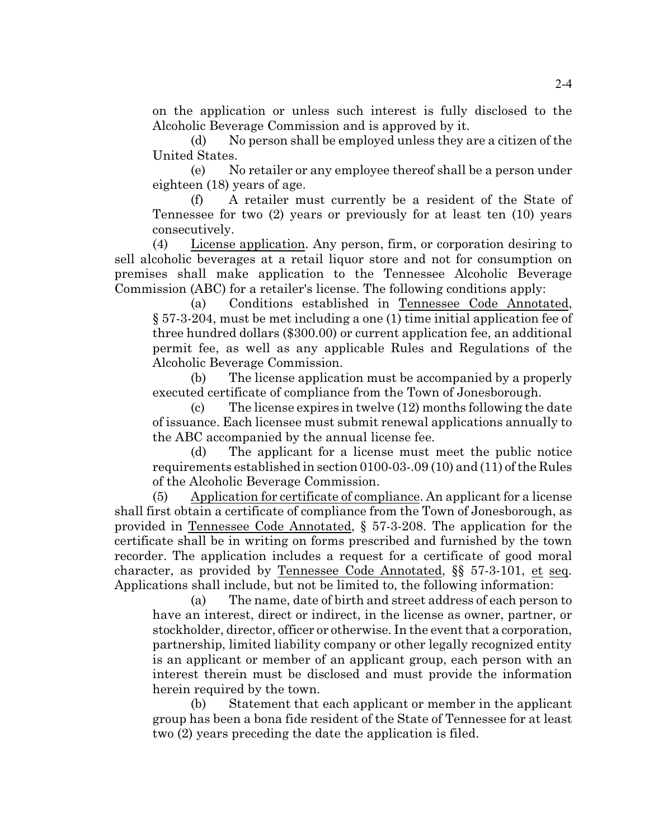on the application or unless such interest is fully disclosed to the Alcoholic Beverage Commission and is approved by it.

(d) No person shall be employed unless they are a citizen of the United States.

(e) No retailer or any employee thereof shall be a person under eighteen (18) years of age.

(f) A retailer must currently be a resident of the State of Tennessee for two (2) years or previously for at least ten (10) years consecutively.

(4) License application. Any person, firm, or corporation desiring to sell alcoholic beverages at a retail liquor store and not for consumption on premises shall make application to the Tennessee Alcoholic Beverage Commission (ABC) for a retailer's license. The following conditions apply:

(a) Conditions established in Tennessee Code Annotated, § 57-3-204, must be met including a one (1) time initial application fee of three hundred dollars (\$300.00) or current application fee, an additional permit fee, as well as any applicable Rules and Regulations of the Alcoholic Beverage Commission.

(b) The license application must be accompanied by a properly executed certificate of compliance from the Town of Jonesborough.

(c) The license expires in twelve (12) months following the date of issuance. Each licensee must submit renewal applications annually to the ABC accompanied by the annual license fee.

(d) The applicant for a license must meet the public notice requirements established in section 0100-03-.09 (10) and (11) of the Rules of the Alcoholic Beverage Commission.

(5) Application for certificate of compliance. An applicant for a license shall first obtain a certificate of compliance from the Town of Jonesborough, as provided in Tennessee Code Annotated, § 57-3-208. The application for the certificate shall be in writing on forms prescribed and furnished by the town recorder. The application includes a request for a certificate of good moral character, as provided by Tennessee Code Annotated, §§ 57-3-101, et seq. Applications shall include, but not be limited to, the following information:

(a) The name, date of birth and street address of each person to have an interest, direct or indirect, in the license as owner, partner, or stockholder, director, officer or otherwise. In the event that a corporation, partnership, limited liability company or other legally recognized entity is an applicant or member of an applicant group, each person with an interest therein must be disclosed and must provide the information herein required by the town.

(b) Statement that each applicant or member in the applicant group has been a bona fide resident of the State of Tennessee for at least two (2) years preceding the date the application is filed.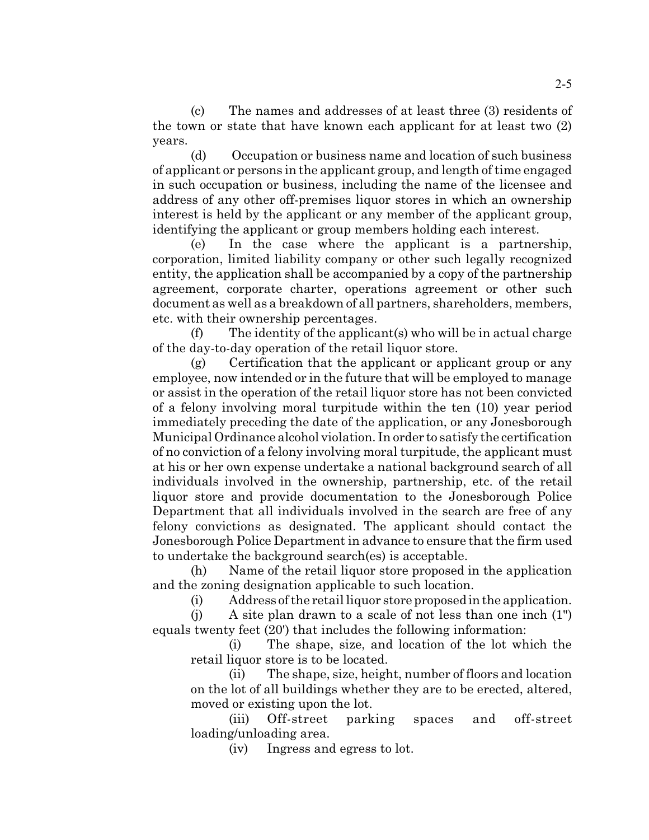(c) The names and addresses of at least three (3) residents of the town or state that have known each applicant for at least two (2) years.

(d) Occupation or business name and location of such business of applicant or persons in the applicant group, and length of time engaged in such occupation or business, including the name of the licensee and address of any other off-premises liquor stores in which an ownership interest is held by the applicant or any member of the applicant group, identifying the applicant or group members holding each interest.

(e) In the case where the applicant is a partnership, corporation, limited liability company or other such legally recognized entity, the application shall be accompanied by a copy of the partnership agreement, corporate charter, operations agreement or other such document as well as a breakdown of all partners, shareholders, members, etc. with their ownership percentages.

 $(f)$  The identity of the applicant(s) who will be in actual charge of the day-to-day operation of the retail liquor store.

(g) Certification that the applicant or applicant group or any employee, now intended or in the future that will be employed to manage or assist in the operation of the retail liquor store has not been convicted of a felony involving moral turpitude within the ten (10) year period immediately preceding the date of the application, or any Jonesborough Municipal Ordinance alcohol violation. In order to satisfy the certification of no conviction of a felony involving moral turpitude, the applicant must at his or her own expense undertake a national background search of all individuals involved in the ownership, partnership, etc. of the retail liquor store and provide documentation to the Jonesborough Police Department that all individuals involved in the search are free of any felony convictions as designated. The applicant should contact the Jonesborough Police Department in advance to ensure that the firm used to undertake the background search(es) is acceptable.

(h) Name of the retail liquor store proposed in the application and the zoning designation applicable to such location.

(i) Address of the retail liquor store proposedinthe application.

(j) A site plan drawn to a scale of not less than one inch (1") equals twenty feet (20') that includes the following information:

(i) The shape, size, and location of the lot which the retail liquor store is to be located.

(ii) The shape, size, height, number of floors and location on the lot of all buildings whether they are to be erected, altered, moved or existing upon the lot.

(iii) Off-street parking spaces and off-street loading/unloading area.

(iv) Ingress and egress to lot.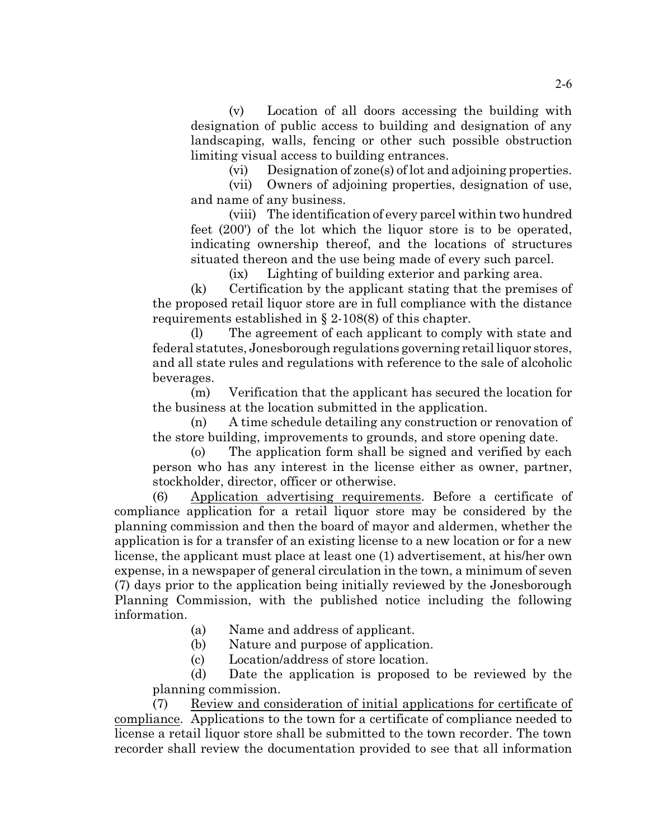(v) Location of all doors accessing the building with designation of public access to building and designation of any landscaping, walls, fencing or other such possible obstruction limiting visual access to building entrances.

(vi) Designation of zone(s) of lot and adjoining properties.

(vii) Owners of adjoining properties, designation of use, and name of any business.

(viii) The identification of every parcel within two hundred feet (200') of the lot which the liquor store is to be operated, indicating ownership thereof, and the locations of structures situated thereon and the use being made of every such parcel.

(ix) Lighting of building exterior and parking area.

(k) Certification by the applicant stating that the premises of the proposed retail liquor store are in full compliance with the distance requirements established in § 2-108(8) of this chapter.

(l) The agreement of each applicant to comply with state and federal statutes, Jonesborough regulations governing retail liquor stores, and all state rules and regulations with reference to the sale of alcoholic beverages.

(m) Verification that the applicant has secured the location for the business at the location submitted in the application.

(n) A time schedule detailing any construction or renovation of the store building, improvements to grounds, and store opening date.

(o) The application form shall be signed and verified by each person who has any interest in the license either as owner, partner, stockholder, director, officer or otherwise.

(6) Application advertising requirements. Before a certificate of compliance application for a retail liquor store may be considered by the planning commission and then the board of mayor and aldermen, whether the application is for a transfer of an existing license to a new location or for a new license, the applicant must place at least one (1) advertisement, at his/her own expense, in a newspaper of general circulation in the town, a minimum of seven (7) days prior to the application being initially reviewed by the Jonesborough Planning Commission, with the published notice including the following information.

(a) Name and address of applicant.

(b) Nature and purpose of application.

(c) Location/address of store location.

(d) Date the application is proposed to be reviewed by the planning commission.

(7) Review and consideration of initial applications for certificate of compliance. Applications to the town for a certificate of compliance needed to license a retail liquor store shall be submitted to the town recorder. The town recorder shall review the documentation provided to see that all information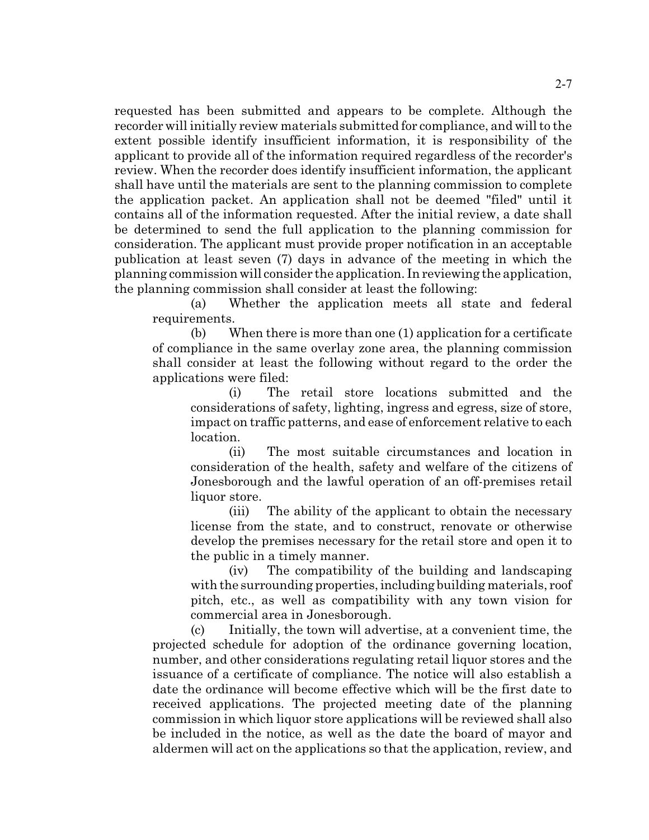requested has been submitted and appears to be complete. Although the recorder will initially review materials submitted for compliance, and willto the extent possible identify insufficient information, it is responsibility of the applicant to provide all of the information required regardless of the recorder's review. When the recorder does identify insufficient information, the applicant shall have until the materials are sent to the planning commission to complete the application packet. An application shall not be deemed "filed" until it contains all of the information requested. After the initial review, a date shall be determined to send the full application to the planning commission for consideration. The applicant must provide proper notification in an acceptable publication at least seven (7) days in advance of the meeting in which the planning commission will consider the application. In reviewing the application, the planning commission shall consider at least the following:

(a) Whether the application meets all state and federal requirements.

(b) When there is more than one (1) application for a certificate of compliance in the same overlay zone area, the planning commission shall consider at least the following without regard to the order the applications were filed:

(i) The retail store locations submitted and the considerations of safety, lighting, ingress and egress, size of store, impact on traffic patterns, and ease of enforcement relative to each location.

(ii) The most suitable circumstances and location in consideration of the health, safety and welfare of the citizens of Jonesborough and the lawful operation of an off-premises retail liquor store.

(iii) The ability of the applicant to obtain the necessary license from the state, and to construct, renovate or otherwise develop the premises necessary for the retail store and open it to the public in a timely manner.

(iv) The compatibility of the building and landscaping with the surrounding properties, including building materials, roof pitch, etc., as well as compatibility with any town vision for commercial area in Jonesborough.

(c) Initially, the town will advertise, at a convenient time, the projected schedule for adoption of the ordinance governing location, number, and other considerations regulating retail liquor stores and the issuance of a certificate of compliance. The notice will also establish a date the ordinance will become effective which will be the first date to received applications. The projected meeting date of the planning commission in which liquor store applications will be reviewed shall also be included in the notice, as well as the date the board of mayor and aldermen will act on the applications so that the application, review, and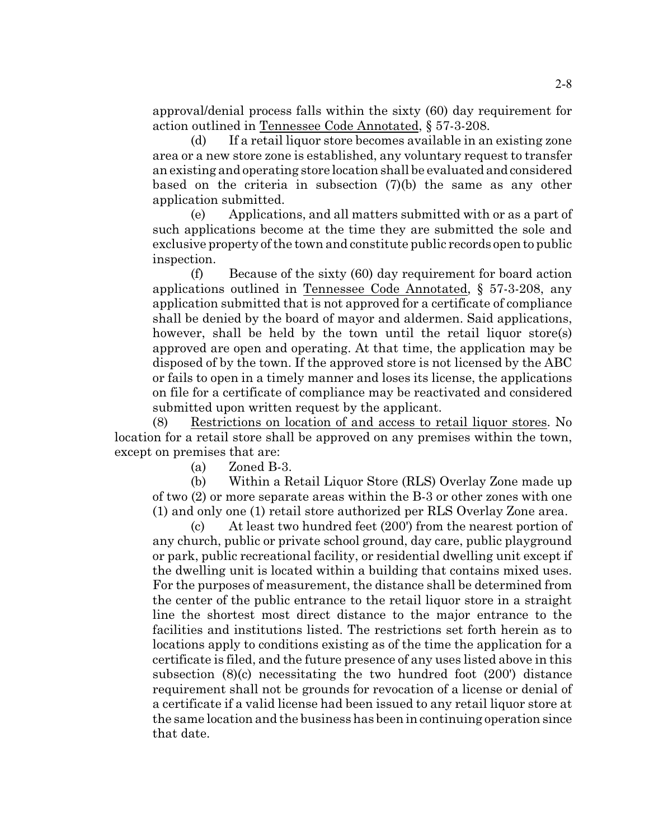approval/denial process falls within the sixty (60) day requirement for action outlined in Tennessee Code Annotated, § 57-3-208.

(d) If a retail liquor store becomes available in an existing zone area or a new store zone is established, any voluntary request to transfer an existing and operating store location shall be evaluated and considered based on the criteria in subsection (7)(b) the same as any other application submitted.

(e) Applications, and all matters submitted with or as a part of such applications become at the time they are submitted the sole and exclusive property of the town and constitute public records open to public inspection.

(f) Because of the sixty (60) day requirement for board action applications outlined in Tennessee Code Annotated, § 57-3-208, any application submitted that is not approved for a certificate of compliance shall be denied by the board of mayor and aldermen. Said applications, however, shall be held by the town until the retail liquor store(s) approved are open and operating. At that time, the application may be disposed of by the town. If the approved store is not licensed by the ABC or fails to open in a timely manner and loses its license, the applications on file for a certificate of compliance may be reactivated and considered submitted upon written request by the applicant.

(8) Restrictions on location of and access to retail liquor stores. No location for a retail store shall be approved on any premises within the town, except on premises that are:

(a) Zoned B-3.

(b) Within a Retail Liquor Store (RLS) Overlay Zone made up of two (2) or more separate areas within the B-3 or other zones with one (1) and only one (1) retail store authorized per RLS Overlay Zone area.

(c) At least two hundred feet (200') from the nearest portion of any church, public or private school ground, day care, public playground or park, public recreational facility, or residential dwelling unit except if the dwelling unit is located within a building that contains mixed uses. For the purposes of measurement, the distance shall be determined from the center of the public entrance to the retail liquor store in a straight line the shortest most direct distance to the major entrance to the facilities and institutions listed. The restrictions set forth herein as to locations apply to conditions existing as of the time the application for a certificate is filed, and the future presence of any uses listed above in this subsection (8)(c) necessitating the two hundred foot (200') distance requirement shall not be grounds for revocation of a license or denial of a certificate if a valid license had been issued to any retail liquor store at the same location and the business has been in continuing operation since that date.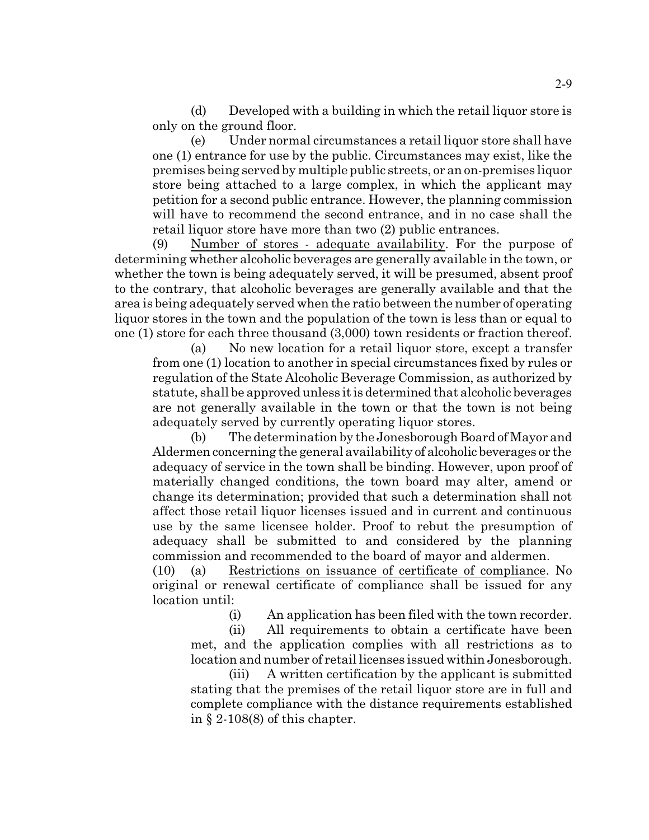(d) Developed with a building in which the retail liquor store is only on the ground floor.

(e) Under normal circumstances a retail liquor store shall have one (1) entrance for use by the public. Circumstances may exist, like the premises being served by multiple public streets, or an on-premises liquor store being attached to a large complex, in which the applicant may petition for a second public entrance. However, the planning commission will have to recommend the second entrance, and in no case shall the retail liquor store have more than two (2) public entrances.

(9) Number of stores - adequate availability. For the purpose of determining whether alcoholic beverages are generally available in the town, or whether the town is being adequately served, it will be presumed, absent proof to the contrary, that alcoholic beverages are generally available and that the area is being adequately served when the ratio between the number of operating liquor stores in the town and the population of the town is less than or equal to one (1) store for each three thousand (3,000) town residents or fraction thereof.

(a) No new location for a retail liquor store, except a transfer from one (1) location to another in special circumstances fixed by rules or regulation of the State Alcoholic Beverage Commission, as authorized by statute, shall be approved unless it is determined that alcoholic beverages are not generally available in the town or that the town is not being adequately served by currently operating liquor stores.

(b) The determination by the Jonesborough Board of Mayor and Aldermen concerning the general availability of alcoholic beverages or the adequacy of service in the town shall be binding. However, upon proof of materially changed conditions, the town board may alter, amend or change its determination; provided that such a determination shall not affect those retail liquor licenses issued and in current and continuous use by the same licensee holder. Proof to rebut the presumption of adequacy shall be submitted to and considered by the planning commission and recommended to the board of mayor and aldermen.

(10) (a) Restrictions on issuance of certificate of compliance. No original or renewal certificate of compliance shall be issued for any location until:

(i) An application has been filed with the town recorder.

(ii) All requirements to obtain a certificate have been met, and the application complies with all restrictions as to location and number of retail licenses issued within Jonesborough.

(iii) A written certification by the applicant is submitted stating that the premises of the retail liquor store are in full and complete compliance with the distance requirements established in § 2-108(8) of this chapter.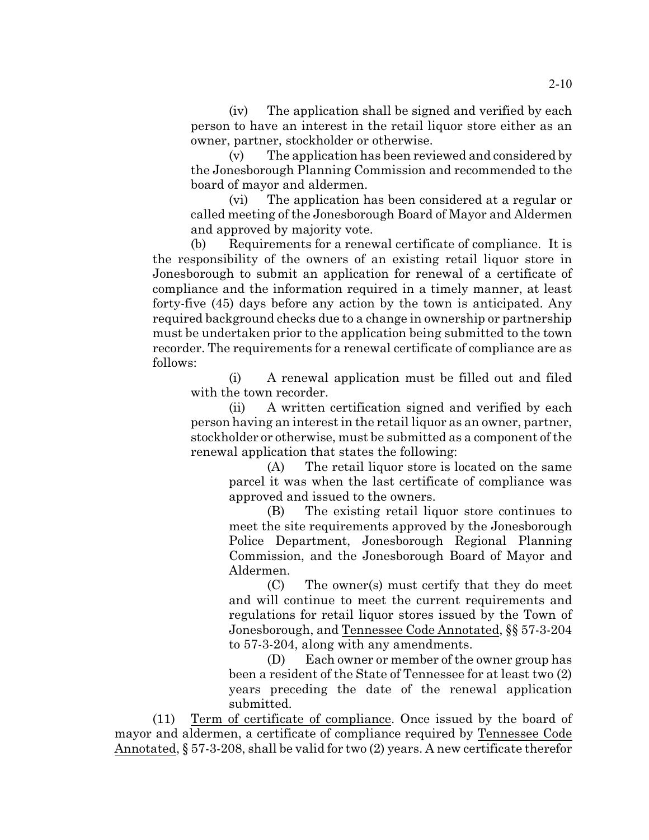(iv) The application shall be signed and verified by each person to have an interest in the retail liquor store either as an owner, partner, stockholder or otherwise.

(v) The application has been reviewed and considered by the Jonesborough Planning Commission and recommended to the board of mayor and aldermen.

(vi) The application has been considered at a regular or called meeting of the Jonesborough Board of Mayor and Aldermen and approved by majority vote.

(b) Requirements for a renewal certificate of compliance. It is the responsibility of the owners of an existing retail liquor store in Jonesborough to submit an application for renewal of a certificate of compliance and the information required in a timely manner, at least forty-five (45) days before any action by the town is anticipated. Any required background checks due to a change in ownership or partnership must be undertaken prior to the application being submitted to the town recorder. The requirements for a renewal certificate of compliance are as follows:

(i) A renewal application must be filled out and filed with the town recorder.

(ii) A written certification signed and verified by each person having an interest in the retail liquor as an owner, partner, stockholder or otherwise, must be submitted as a component of the renewal application that states the following:

(A) The retail liquor store is located on the same parcel it was when the last certificate of compliance was approved and issued to the owners.

(B) The existing retail liquor store continues to meet the site requirements approved by the Jonesborough Police Department, Jonesborough Regional Planning Commission, and the Jonesborough Board of Mayor and Aldermen.

(C) The owner(s) must certify that they do meet and will continue to meet the current requirements and regulations for retail liquor stores issued by the Town of Jonesborough, and Tennessee Code Annotated, §§ 57-3-204 to 57-3-204, along with any amendments.

(D) Each owner or member of the owner group has been a resident of the State of Tennessee for at least two (2) years preceding the date of the renewal application submitted.

(11) Term of certificate of compliance. Once issued by the board of mayor and aldermen, a certificate of compliance required by Tennessee Code Annotated, § 57-3-208, shall be valid for two (2) years. A new certificate therefor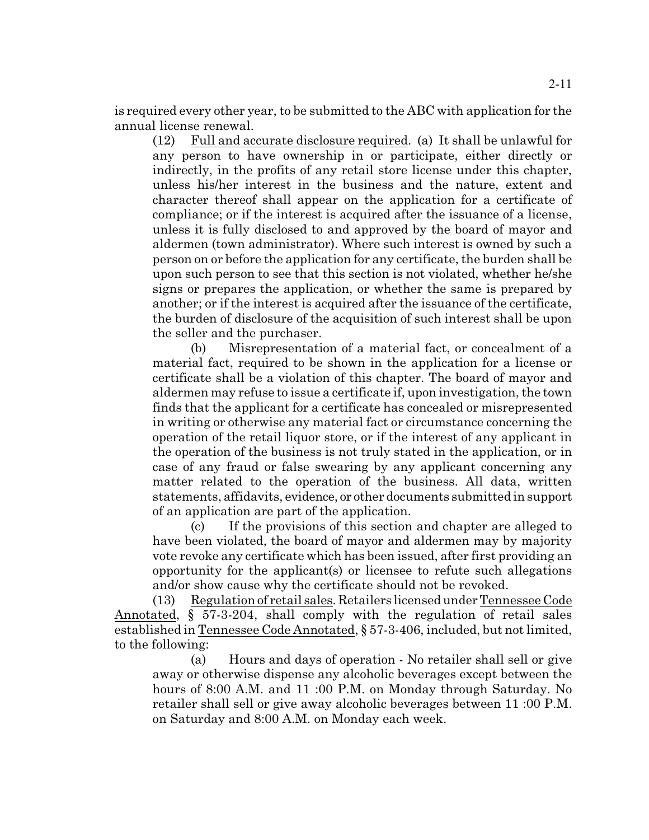is required every other year, to be submitted to the ABC with application for the annual license renewal.

(12) Full and accurate disclosure required. (a) It shall be unlawful for any person to have ownership in or participate, either directly or indirectly, in the profits of any retail store license under this chapter, unless his/her interest in the business and the nature, extent and character thereof shall appear on the application for a certificate of compliance; or if the interest is acquired after the issuance of a license, unless it is fully disclosed to and approved by the board of mayor and aldermen (town administrator). Where such interest is owned by such a person on or before the application for any certificate, the burden shall be upon such person to see that this section is not violated, whether he/she signs or prepares the application, or whether the same is prepared by another; or if the interest is acquired after the issuance of the certificate, the burden of disclosure of the acquisition of such interest shall be upon the seller and the purchaser.

(b) Misrepresentation of a material fact, or concealment of a material fact, required to be shown in the application for a license or certificate shall be a violation of this chapter. The board of mayor and aldermen may refuse to issue a certificate if, upon investigation, the town finds that the applicant for a certificate has concealed or misrepresented in writing or otherwise any material fact or circumstance concerning the operation of the retail liquor store, or if the interest of any applicant in the operation of the business is not truly stated in the application, or in case of any fraud or false swearing by any applicant concerning any matter related to the operation of the business. All data, written statements, affidavits, evidence, or other documents submitted in support of an application are part of the application.

(c) If the provisions of this section and chapter are alleged to have been violated, the board of mayor and aldermen may by majority vote revoke any certificate which has been issued, after first providing an opportunity for the applicant(s) or licensee to refute such allegations and/or show cause why the certificate should not be revoked.

(13) Regulation of retail sales. Retailers licensed under Tennessee Code Annotated, § 57-3-204, shall comply with the regulation of retail sales established in Tennessee Code Annotated, § 57-3-406, included, but not limited, to the following:

(a) Hours and days of operation - No retailer shall sell or give away or otherwise dispense any alcoholic beverages except between the hours of 8:00 A.M. and 11 :00 P.M. on Monday through Saturday. No retailer shall sell or give away alcoholic beverages between 11 :00 P.M. on Saturday and 8:00 A.M. on Monday each week.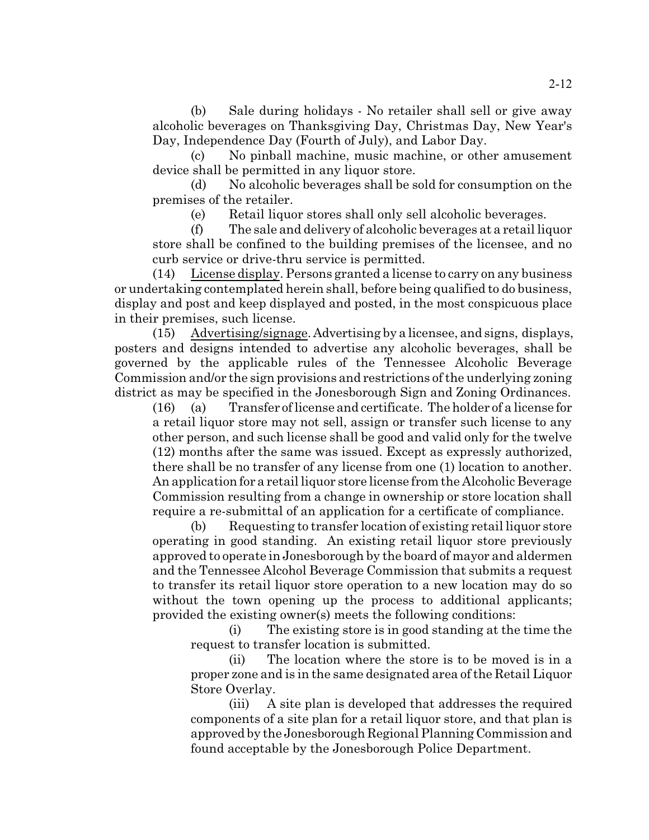(b) Sale during holidays - No retailer shall sell or give away alcoholic beverages on Thanksgiving Day, Christmas Day, New Year's Day, Independence Day (Fourth of July), and Labor Day.

(c) No pinball machine, music machine, or other amusement device shall be permitted in any liquor store.

(d) No alcoholic beverages shall be sold for consumption on the premises of the retailer.

(e) Retail liquor stores shall only sell alcoholic beverages.

(f) The sale and delivery of alcoholic beverages at a retail liquor store shall be confined to the building premises of the licensee, and no curb service or drive-thru service is permitted.

(14) License display. Persons granted a license to carry on any business or undertaking contemplated herein shall, before being qualified to do business, display and post and keep displayed and posted, in the most conspicuous place in their premises, such license.

(15) Advertising/signage. Advertising by a licensee, and signs, displays, posters and designs intended to advertise any alcoholic beverages, shall be governed by the applicable rules of the Tennessee Alcoholic Beverage Commission and/or the sign provisions and restrictions of the underlying zoning district as may be specified in the Jonesborough Sign and Zoning Ordinances.

(16) (a) Transfer of license and certificate. The holder of a license for a retail liquor store may not sell, assign or transfer such license to any other person, and such license shall be good and valid only for the twelve (12) months after the same was issued. Except as expressly authorized, there shall be no transfer of any license from one (1) location to another. An application for a retail liquor store license from the Alcoholic Beverage Commission resulting from a change in ownership or store location shall require a re-submittal of an application for a certificate of compliance.

(b) Requesting to transfer location of existing retail liquor store operating in good standing. An existing retail liquor store previously approved to operate in Jonesborough by the board of mayor and aldermen and the Tennessee Alcohol Beverage Commission that submits a request to transfer its retail liquor store operation to a new location may do so without the town opening up the process to additional applicants; provided the existing owner(s) meets the following conditions:

(i) The existing store is in good standing at the time the request to transfer location is submitted.

(ii) The location where the store is to be moved is in a proper zone and is in the same designated area of the Retail Liquor Store Overlay.

(iii) A site plan is developed that addresses the required components of a site plan for a retail liquor store, and that plan is approved by the Jonesborough Regional Planning Commission and found acceptable by the Jonesborough Police Department.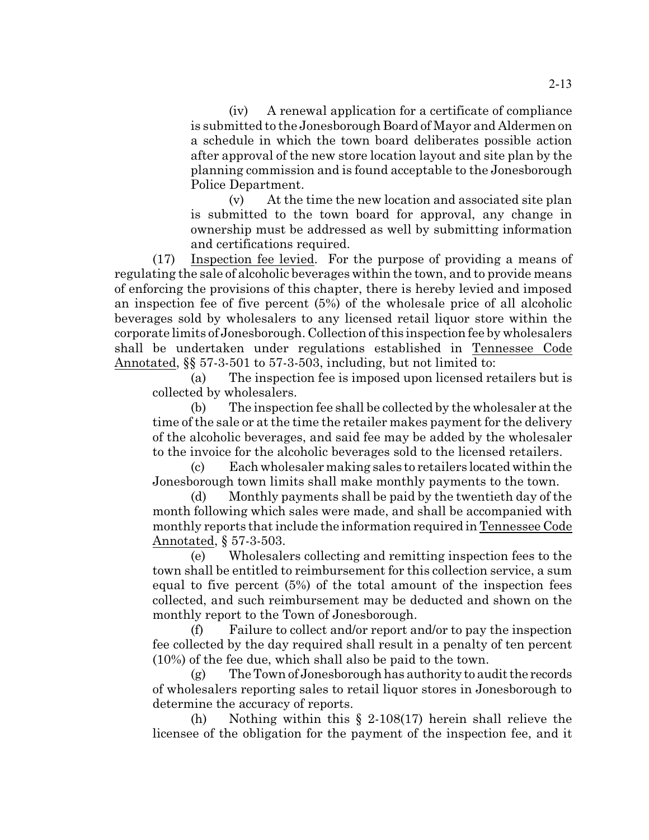(iv) A renewal application for a certificate of compliance is submitted to the Jonesborough Board of Mayor and Aldermen on a schedule in which the town board deliberates possible action after approval of the new store location layout and site plan by the planning commission and is found acceptable to the Jonesborough Police Department.

(v) At the time the new location and associated site plan is submitted to the town board for approval, any change in ownership must be addressed as well by submitting information and certifications required.

(17) Inspection fee levied. For the purpose of providing a means of regulating the sale of alcoholic beverages within the town, and to provide means of enforcing the provisions of this chapter, there is hereby levied and imposed an inspection fee of five percent (5%) of the wholesale price of all alcoholic beverages sold by wholesalers to any licensed retail liquor store within the corporate limits of Jonesborough. Collection of this inspection fee by wholesalers shall be undertaken under regulations established in Tennessee Code Annotated, §§ 57-3-501 to 57-3-503, including, but not limited to:

(a) The inspection fee is imposed upon licensed retailers but is collected by wholesalers.

(b) The inspection fee shall be collected by the wholesaler at the time of the sale or at the time the retailer makes payment for the delivery of the alcoholic beverages, and said fee may be added by the wholesaler to the invoice for the alcoholic beverages sold to the licensed retailers.

(c) Each wholesaler making sales to retailers located within the Jonesborough town limits shall make monthly payments to the town.

(d) Monthly payments shall be paid by the twentieth day of the month following which sales were made, and shall be accompanied with monthly reports that include the information required in Tennessee Code Annotated, § 57-3-503.

(e) Wholesalers collecting and remitting inspection fees to the town shall be entitled to reimbursement for this collection service, a sum equal to five percent (5%) of the total amount of the inspection fees collected, and such reimbursement may be deducted and shown on the monthly report to the Town of Jonesborough.

(f) Failure to collect and/or report and/or to pay the inspection fee collected by the day required shall result in a penalty of ten percent (10%) of the fee due, which shall also be paid to the town.

 $(g)$  The Town of Jonesborough has authority to audit the records of wholesalers reporting sales to retail liquor stores in Jonesborough to determine the accuracy of reports.

(h) Nothing within this § 2-108(17) herein shall relieve the licensee of the obligation for the payment of the inspection fee, and it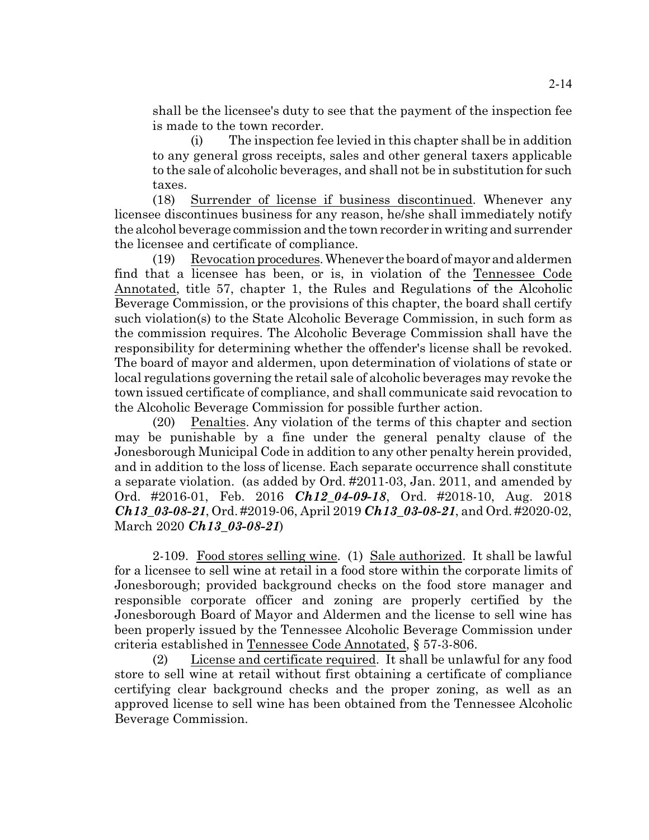shall be the licensee's duty to see that the payment of the inspection fee is made to the town recorder.

(i) The inspection fee levied in this chapter shall be in addition to any general gross receipts, sales and other general taxers applicable to the sale of alcoholic beverages, and shall not be in substitution for such taxes.

(18) Surrender of license if business discontinued. Whenever any licensee discontinues business for any reason, he/she shall immediately notify the alcohol beverage commission and the town recorder in writing and surrender the licensee and certificate of compliance.

 $(19)$  Revocation procedures. Whenever the board of mayor and aldermen find that a licensee has been, or is, in violation of the Tennessee Code Annotated, title 57, chapter 1, the Rules and Regulations of the Alcoholic Beverage Commission, or the provisions of this chapter, the board shall certify such violation(s) to the State Alcoholic Beverage Commission, in such form as the commission requires. The Alcoholic Beverage Commission shall have the responsibility for determining whether the offender's license shall be revoked. The board of mayor and aldermen, upon determination of violations of state or local regulations governing the retail sale of alcoholic beverages may revoke the town issued certificate of compliance, and shall communicate said revocation to the Alcoholic Beverage Commission for possible further action.

(20) Penalties. Any violation of the terms of this chapter and section may be punishable by a fine under the general penalty clause of the Jonesborough Municipal Code in addition to any other penalty herein provided, and in addition to the loss of license. Each separate occurrence shall constitute a separate violation. (as added by Ord. #2011-03, Jan. 2011, and amended by Ord. #2016-01, Feb. 2016 *Ch12\_04-09-18*, Ord. #2018-10, Aug. 2018 *Ch13\_03-08-21*, Ord. #2019-06, April 2019 *Ch13\_03-08-21*, and Ord. #2020-02, March 2020 *Ch13\_03-08-21*)

2-109. Food stores selling wine. (1) Sale authorized. It shall be lawful for a licensee to sell wine at retail in a food store within the corporate limits of Jonesborough; provided background checks on the food store manager and responsible corporate officer and zoning are properly certified by the Jonesborough Board of Mayor and Aldermen and the license to sell wine has been properly issued by the Tennessee Alcoholic Beverage Commission under criteria established in Tennessee Code Annotated, § 57-3-806.

(2) License and certificate required. It shall be unlawful for any food store to sell wine at retail without first obtaining a certificate of compliance certifying clear background checks and the proper zoning, as well as an approved license to sell wine has been obtained from the Tennessee Alcoholic Beverage Commission.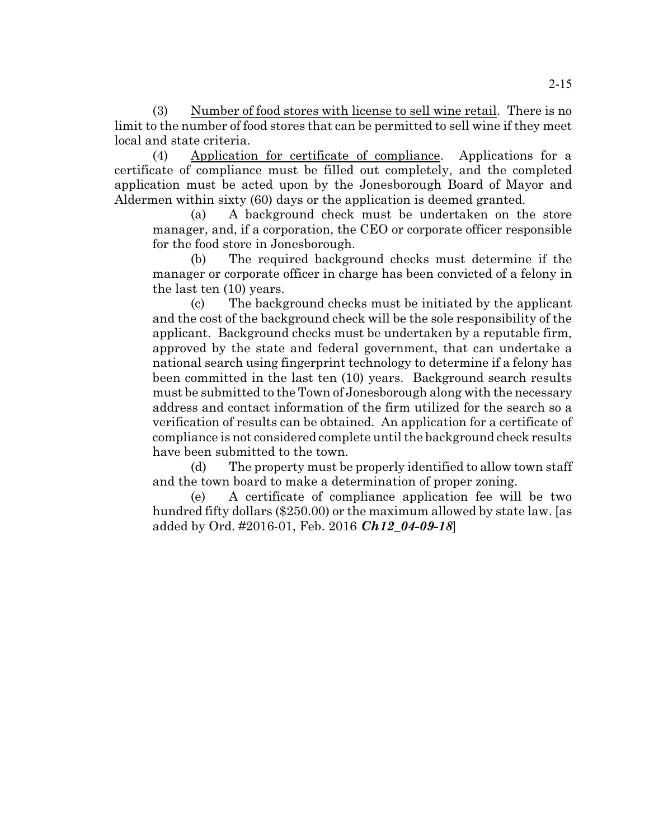(3) Number of food stores with license to sell wine retail. There is no limit to the number of food stores that can be permitted to sell wine if they meet local and state criteria.

(4) Application for certificate of compliance. Applications for a certificate of compliance must be filled out completely, and the completed application must be acted upon by the Jonesborough Board of Mayor and Aldermen within sixty (60) days or the application is deemed granted.

(a) A background check must be undertaken on the store manager, and, if a corporation, the CEO or corporate officer responsible for the food store in Jonesborough.

(b) The required background checks must determine if the manager or corporate officer in charge has been convicted of a felony in the last ten (10) years.

(c) The background checks must be initiated by the applicant and the cost of the background check will be the sole responsibility of the applicant. Background checks must be undertaken by a reputable firm, approved by the state and federal government, that can undertake a national search using fingerprint technology to determine if a felony has been committed in the last ten (10) years. Background search results must be submitted to the Town of Jonesborough along with the necessary address and contact information of the firm utilized for the search so a verification of results can be obtained. An application for a certificate of compliance is not considered complete until the background check results have been submitted to the town.

(d) The property must be properly identified to allow town staff and the town board to make a determination of proper zoning.

(e) A certificate of compliance application fee will be two hundred fifty dollars (\$250.00) or the maximum allowed by state law. [as added by Ord. #2016-01, Feb. 2016 *Ch12\_04-09-18*]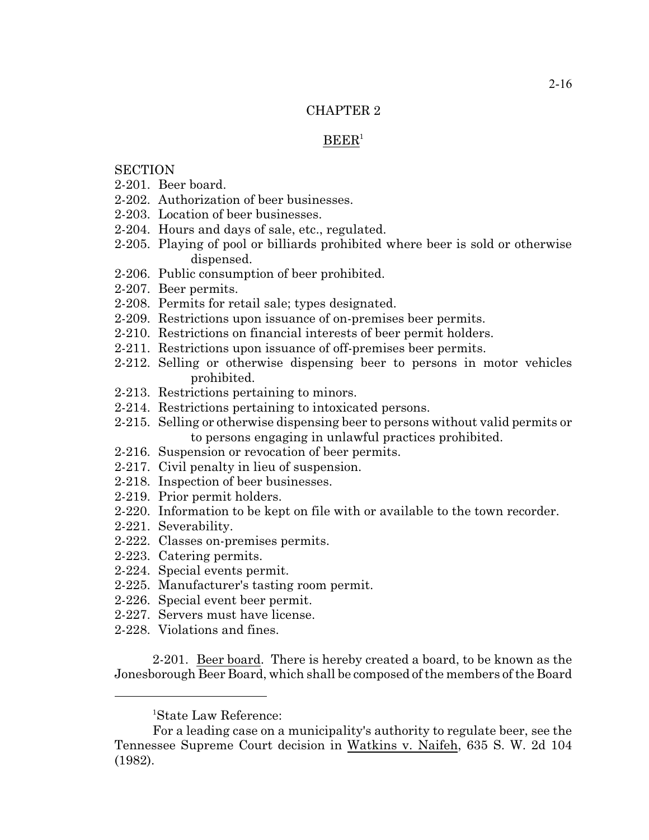# CHAPTER 2

# $B E E R<sup>1</sup>$

# **SECTION**

- 2-201. Beer board.
- 2-202. Authorization of beer businesses.
- 2-203. Location of beer businesses.
- 2-204. Hours and days of sale, etc., regulated.
- 2-205. Playing of pool or billiards prohibited where beer is sold or otherwise dispensed.
- 2-206. Public consumption of beer prohibited.
- 2-207. Beer permits.
- 2-208. Permits for retail sale; types designated.
- 2-209. Restrictions upon issuance of on-premises beer permits.
- 2-210. Restrictions on financial interests of beer permit holders.
- 2-211. Restrictions upon issuance of off-premises beer permits.
- 2-212. Selling or otherwise dispensing beer to persons in motor vehicles prohibited.
- 2-213. Restrictions pertaining to minors.
- 2-214. Restrictions pertaining to intoxicated persons.
- 2-215. Selling or otherwise dispensing beer to persons without valid permits or to persons engaging in unlawful practices prohibited.
- 2-216. Suspension or revocation of beer permits.
- 2-217. Civil penalty in lieu of suspension.
- 2-218. Inspection of beer businesses.
- 2-219. Prior permit holders.
- 2-220. Information to be kept on file with or available to the town recorder.
- 2-221. Severability.
- 2-222. Classes on-premises permits.
- 2-223. Catering permits.
- 2-224. Special events permit.
- 2-225. Manufacturer's tasting room permit.
- 2-226. Special event beer permit.
- 2-227. Servers must have license.
- 2-228. Violations and fines.

2-201. Beer board. There is hereby created a board, to be known as the Jonesborough Beer Board, which shall be composed of the members of the Board

<sup>1</sup>State Law Reference:

For a leading case on a municipality's authority to regulate beer, see the Tennessee Supreme Court decision in Watkins v. Naifeh, 635 S. W. 2d 104 (1982).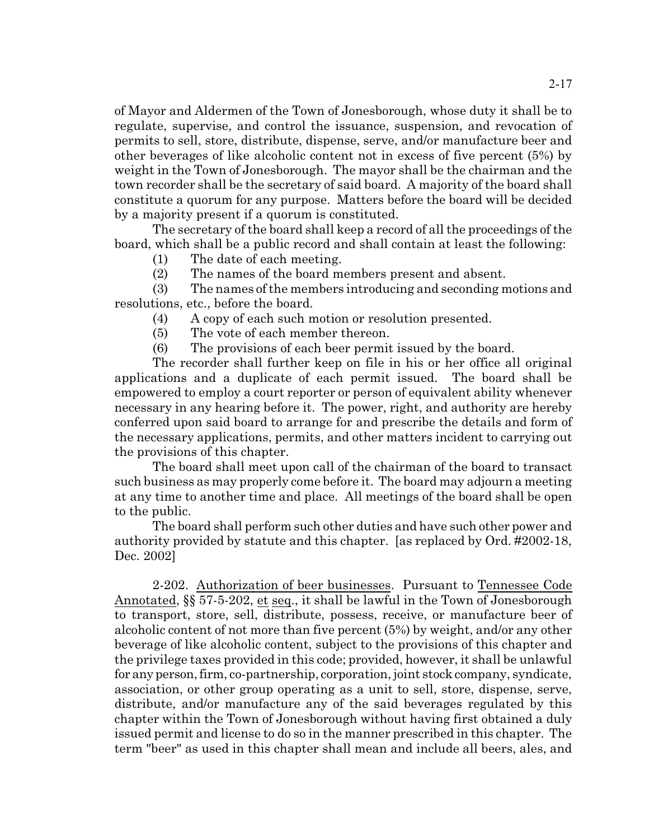of Mayor and Aldermen of the Town of Jonesborough, whose duty it shall be to regulate, supervise, and control the issuance, suspension, and revocation of permits to sell, store, distribute, dispense, serve, and/or manufacture beer and other beverages of like alcoholic content not in excess of five percent (5%) by weight in the Town of Jonesborough. The mayor shall be the chairman and the town recorder shall be the secretary of said board. A majority of the board shall constitute a quorum for any purpose. Matters before the board will be decided by a majority present if a quorum is constituted.

The secretary of the board shall keep a record of all the proceedings of the board, which shall be a public record and shall contain at least the following:

(1) The date of each meeting.

(2) The names of the board members present and absent.

(3) The names of the members introducing and seconding motions and resolutions, etc., before the board.

(4) A copy of each such motion or resolution presented.

(5) The vote of each member thereon.

(6) The provisions of each beer permit issued by the board.

The recorder shall further keep on file in his or her office all original applications and a duplicate of each permit issued. The board shall be empowered to employ a court reporter or person of equivalent ability whenever necessary in any hearing before it. The power, right, and authority are hereby conferred upon said board to arrange for and prescribe the details and form of the necessary applications, permits, and other matters incident to carrying out the provisions of this chapter.

The board shall meet upon call of the chairman of the board to transact such business as may properly come before it. The board may adjourn a meeting at any time to another time and place. All meetings of the board shall be open to the public.

The board shall perform such other duties and have such other power and authority provided by statute and this chapter. [as replaced by Ord. #2002-18, Dec. 2002]

2-202. Authorization of beer businesses. Pursuant to Tennessee Code Annotated, §§ 57-5-202, et seq., it shall be lawful in the Town of Jonesborough to transport, store, sell, distribute, possess, receive, or manufacture beer of alcoholic content of not more than five percent (5%) by weight, and/or any other beverage of like alcoholic content, subject to the provisions of this chapter and the privilege taxes provided in this code; provided, however, it shall be unlawful for any person, firm, co-partnership, corporation, joint stock company, syndicate, association, or other group operating as a unit to sell, store, dispense, serve, distribute, and/or manufacture any of the said beverages regulated by this chapter within the Town of Jonesborough without having first obtained a duly issued permit and license to do so in the manner prescribed in this chapter. The term "beer" as used in this chapter shall mean and include all beers, ales, and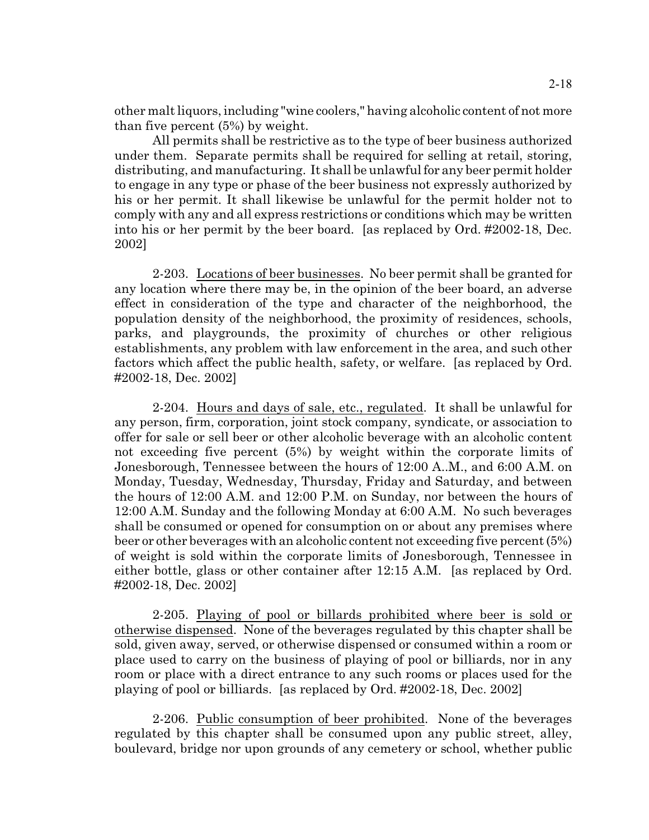other malt liquors, including "wine coolers," having alcoholic content of not more than five percent (5%) by weight.

All permits shall be restrictive as to the type of beer business authorized under them. Separate permits shall be required for selling at retail, storing, distributing, and manufacturing. It shall be unlawfulfor any beer permit holder to engage in any type or phase of the beer business not expressly authorized by his or her permit. It shall likewise be unlawful for the permit holder not to comply with any and all express restrictions or conditions which may be written into his or her permit by the beer board. [as replaced by Ord. #2002-18, Dec. 2002]

2-203. Locations of beer businesses. No beer permit shall be granted for any location where there may be, in the opinion of the beer board, an adverse effect in consideration of the type and character of the neighborhood, the population density of the neighborhood, the proximity of residences, schools, parks, and playgrounds, the proximity of churches or other religious establishments, any problem with law enforcement in the area, and such other factors which affect the public health, safety, or welfare. [as replaced by Ord. #2002-18, Dec. 2002]

2-204. Hours and days of sale, etc., regulated. It shall be unlawful for any person, firm, corporation, joint stock company, syndicate, or association to offer for sale or sell beer or other alcoholic beverage with an alcoholic content not exceeding five percent (5%) by weight within the corporate limits of Jonesborough, Tennessee between the hours of 12:00 A..M., and 6:00 A.M. on Monday, Tuesday, Wednesday, Thursday, Friday and Saturday, and between the hours of 12:00 A.M. and 12:00 P.M. on Sunday, nor between the hours of 12:00 A.M. Sunday and the following Monday at 6:00 A.M. No such beverages shall be consumed or opened for consumption on or about any premises where beer or other beverages with an alcoholic content not exceeding five percent (5%) of weight is sold within the corporate limits of Jonesborough, Tennessee in either bottle, glass or other container after 12:15 A.M. [as replaced by Ord. #2002-18, Dec. 2002]

2-205. Playing of pool or billards prohibited where beer is sold or otherwise dispensed. None of the beverages regulated by this chapter shall be sold, given away, served, or otherwise dispensed or consumed within a room or place used to carry on the business of playing of pool or billiards, nor in any room or place with a direct entrance to any such rooms or places used for the playing of pool or billiards. [as replaced by Ord. #2002-18, Dec. 2002]

2-206. Public consumption of beer prohibited. None of the beverages regulated by this chapter shall be consumed upon any public street, alley, boulevard, bridge nor upon grounds of any cemetery or school, whether public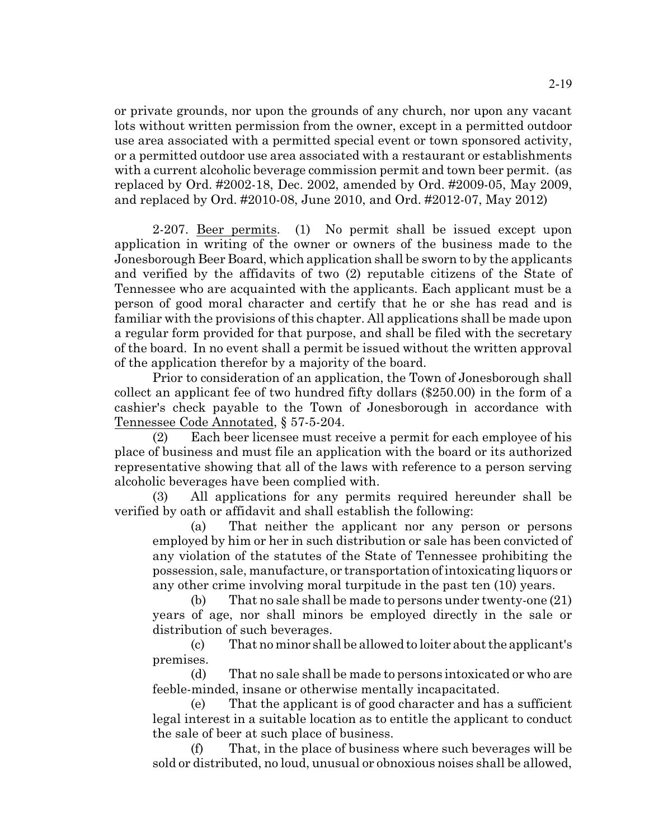or private grounds, nor upon the grounds of any church, nor upon any vacant lots without written permission from the owner, except in a permitted outdoor use area associated with a permitted special event or town sponsored activity, or a permitted outdoor use area associated with a restaurant or establishments with a current alcoholic beverage commission permit and town beer permit. (as replaced by Ord. #2002-18, Dec. 2002, amended by Ord. #2009-05, May 2009, and replaced by Ord. #2010-08, June 2010, and Ord. #2012-07, May 2012)

2-207. Beer permits. (1) No permit shall be issued except upon application in writing of the owner or owners of the business made to the Jonesborough Beer Board, which application shall be sworn to by the applicants and verified by the affidavits of two (2) reputable citizens of the State of Tennessee who are acquainted with the applicants. Each applicant must be a person of good moral character and certify that he or she has read and is familiar with the provisions of this chapter. All applications shall be made upon a regular form provided for that purpose, and shall be filed with the secretary of the board. In no event shall a permit be issued without the written approval of the application therefor by a majority of the board.

Prior to consideration of an application, the Town of Jonesborough shall collect an applicant fee of two hundred fifty dollars (\$250.00) in the form of a cashier's check payable to the Town of Jonesborough in accordance with Tennessee Code Annotated, § 57-5-204.

(2) Each beer licensee must receive a permit for each employee of his place of business and must file an application with the board or its authorized representative showing that all of the laws with reference to a person serving alcoholic beverages have been complied with.

(3) All applications for any permits required hereunder shall be verified by oath or affidavit and shall establish the following:

(a) That neither the applicant nor any person or persons employed by him or her in such distribution or sale has been convicted of any violation of the statutes of the State of Tennessee prohibiting the possession, sale, manufacture, or transportation of intoxicating liquors or any other crime involving moral turpitude in the past ten (10) years.

(b) That no sale shall be made to persons under twenty-one (21) years of age, nor shall minors be employed directly in the sale or distribution of such beverages.

(c) That no minor shall be allowed to loiter about the applicant's premises.

(d) That no sale shall be made to persons intoxicated or who are feeble-minded, insane or otherwise mentally incapacitated.

(e) That the applicant is of good character and has a sufficient legal interest in a suitable location as to entitle the applicant to conduct the sale of beer at such place of business.

(f) That, in the place of business where such beverages will be sold or distributed, no loud, unusual or obnoxious noises shall be allowed,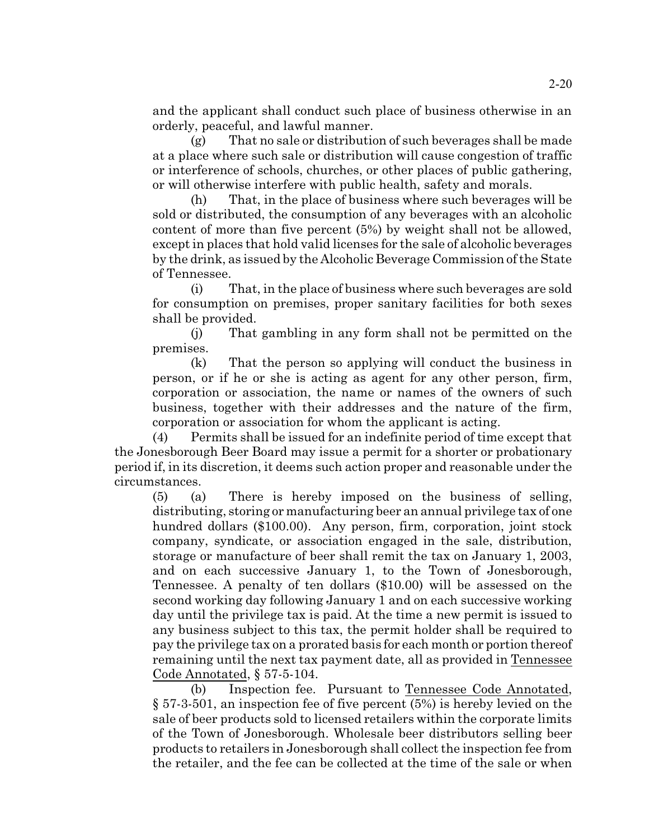and the applicant shall conduct such place of business otherwise in an orderly, peaceful, and lawful manner.

(g) That no sale or distribution of such beverages shall be made at a place where such sale or distribution will cause congestion of traffic or interference of schools, churches, or other places of public gathering, or will otherwise interfere with public health, safety and morals.

(h) That, in the place of business where such beverages will be sold or distributed, the consumption of any beverages with an alcoholic content of more than five percent (5%) by weight shall not be allowed, except in places that hold valid licenses for the sale of alcoholic beverages by the drink, as issued by the Alcoholic Beverage Commission of the State of Tennessee.

(i) That, in the place of business where such beverages are sold for consumption on premises, proper sanitary facilities for both sexes shall be provided.

(j) That gambling in any form shall not be permitted on the premises.

(k) That the person so applying will conduct the business in person, or if he or she is acting as agent for any other person, firm, corporation or association, the name or names of the owners of such business, together with their addresses and the nature of the firm, corporation or association for whom the applicant is acting.

(4) Permits shall be issued for an indefinite period of time except that the Jonesborough Beer Board may issue a permit for a shorter or probationary period if, in its discretion, it deems such action proper and reasonable under the circumstances.

(5) (a) There is hereby imposed on the business of selling, distributing, storing or manufacturing beer an annual privilege tax of one hundred dollars (\$100.00). Any person, firm, corporation, joint stock company, syndicate, or association engaged in the sale, distribution, storage or manufacture of beer shall remit the tax on January 1, 2003, and on each successive January 1, to the Town of Jonesborough, Tennessee. A penalty of ten dollars (\$10.00) will be assessed on the second working day following January 1 and on each successive working day until the privilege tax is paid. At the time a new permit is issued to any business subject to this tax, the permit holder shall be required to pay the privilege tax on a prorated basis for each month or portion thereof remaining until the next tax payment date, all as provided in Tennessee Code Annotated, § 57-5-104.

(b) Inspection fee. Pursuant to Tennessee Code Annotated, § 57-3-501, an inspection fee of five percent (5%) is hereby levied on the sale of beer products sold to licensed retailers within the corporate limits of the Town of Jonesborough. Wholesale beer distributors selling beer products to retailers in Jonesborough shall collect the inspection fee from the retailer, and the fee can be collected at the time of the sale or when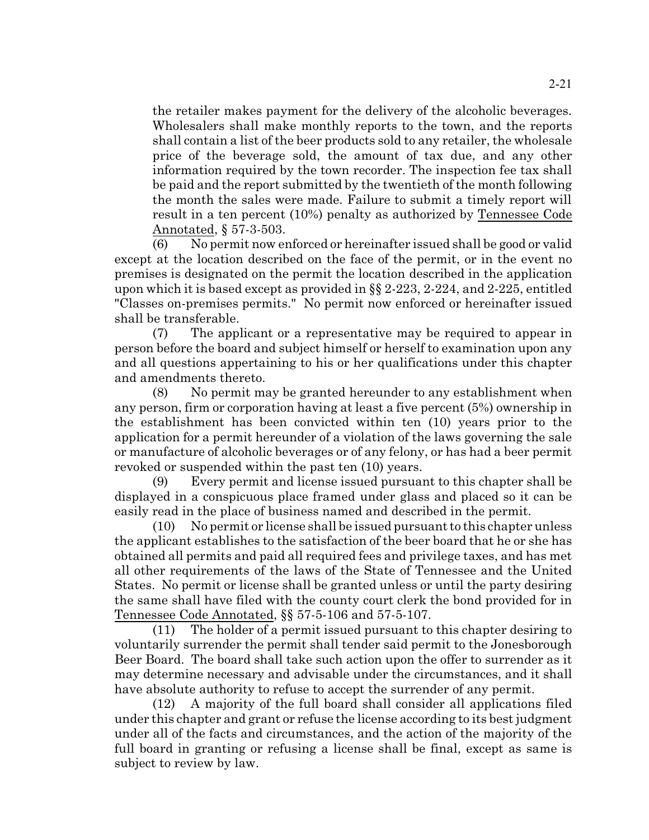the retailer makes payment for the delivery of the alcoholic beverages. Wholesalers shall make monthly reports to the town, and the reports shall contain a list of the beer products sold to any retailer, the wholesale price of the beverage sold, the amount of tax due, and any other information required by the town recorder. The inspection fee tax shall be paid and the report submitted by the twentieth of the month following the month the sales were made. Failure to submit a timely report will result in a ten percent (10%) penalty as authorized by Tennessee Code Annotated, § 57-3-503.

(6) No permit now enforced or hereinafter issued shall be good or valid except at the location described on the face of the permit, or in the event no premises is designated on the permit the location described in the application upon which it is based except as provided in  $\S$  2-223, 2-224, and 2-225, entitled "Classes on-premises permits." No permit now enforced or hereinafter issued shall be transferable.

(7) The applicant or a representative may be required to appear in person before the board and subject himself or herself to examination upon any and all questions appertaining to his or her qualifications under this chapter and amendments thereto.

(8) No permit may be granted hereunder to any establishment when any person, firm or corporation having at least a five percent (5%) ownership in the establishment has been convicted within ten (10) years prior to the application for a permit hereunder of a violation of the laws governing the sale or manufacture of alcoholic beverages or of any felony, or has had a beer permit revoked or suspended within the past ten (10) years.

(9) Every permit and license issued pursuant to this chapter shall be displayed in a conspicuous place framed under glass and placed so it can be easily read in the place of business named and described in the permit.

(10) No permit or license shall be issued pursuant to this chapter unless the applicant establishes to the satisfaction of the beer board that he or she has obtained all permits and paid all required fees and privilege taxes, and has met all other requirements of the laws of the State of Tennessee and the United States. No permit or license shall be granted unless or until the party desiring the same shall have filed with the county court clerk the bond provided for in Tennessee Code Annotated, §§ 57-5-106 and 57-5-107.

(11) The holder of a permit issued pursuant to this chapter desiring to voluntarily surrender the permit shall tender said permit to the Jonesborough Beer Board. The board shall take such action upon the offer to surrender as it may determine necessary and advisable under the circumstances, and it shall have absolute authority to refuse to accept the surrender of any permit.

(12) A majority of the full board shall consider all applications filed under this chapter and grant or refuse the license according to its best judgment under all of the facts and circumstances, and the action of the majority of the full board in granting or refusing a license shall be final, except as same is subject to review by law.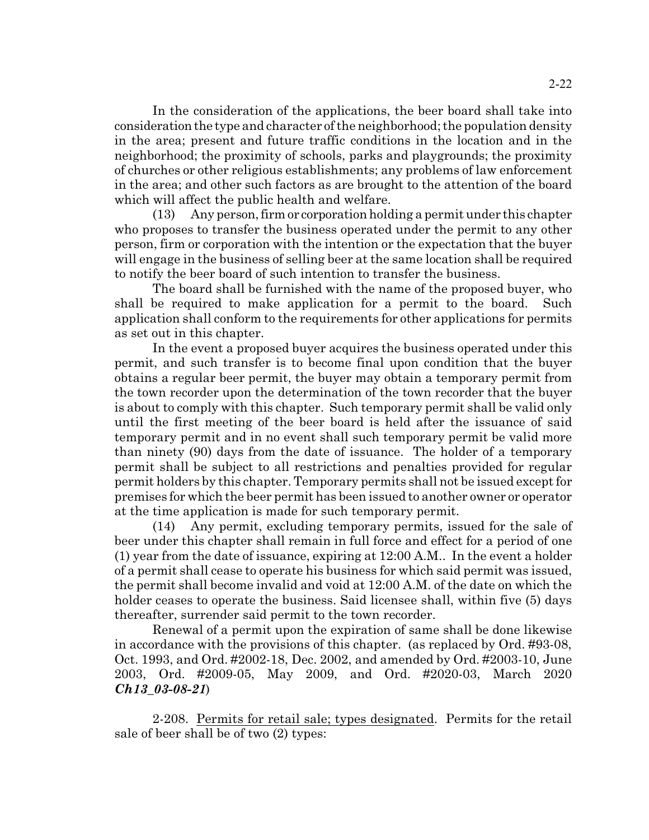In the consideration of the applications, the beer board shall take into consideration the type and character of the neighborhood; the population density in the area; present and future traffic conditions in the location and in the neighborhood; the proximity of schools, parks and playgrounds; the proximity of churches or other religious establishments; any problems of law enforcement in the area; and other such factors as are brought to the attention of the board which will affect the public health and welfare.

(13) Any person,firm or corporation holding a permit under this chapter who proposes to transfer the business operated under the permit to any other person, firm or corporation with the intention or the expectation that the buyer will engage in the business of selling beer at the same location shall be required to notify the beer board of such intention to transfer the business.

The board shall be furnished with the name of the proposed buyer, who shall be required to make application for a permit to the board. Such application shall conform to the requirements for other applications for permits as set out in this chapter.

In the event a proposed buyer acquires the business operated under this permit, and such transfer is to become final upon condition that the buyer obtains a regular beer permit, the buyer may obtain a temporary permit from the town recorder upon the determination of the town recorder that the buyer is about to comply with this chapter. Such temporary permit shall be valid only until the first meeting of the beer board is held after the issuance of said temporary permit and in no event shall such temporary permit be valid more than ninety (90) days from the date of issuance. The holder of a temporary permit shall be subject to all restrictions and penalties provided for regular permit holders by this chapter. Temporary permits shall not be issued except for premises for which the beer permit has been issued to another owner or operator at the time application is made for such temporary permit.

(14) Any permit, excluding temporary permits, issued for the sale of beer under this chapter shall remain in full force and effect for a period of one (1) year from the date of issuance, expiring at 12:00 A.M.. In the event a holder of a permit shall cease to operate his business for which said permit was issued, the permit shall become invalid and void at 12:00 A.M. of the date on which the holder ceases to operate the business. Said licensee shall, within five (5) days thereafter, surrender said permit to the town recorder.

Renewal of a permit upon the expiration of same shall be done likewise in accordance with the provisions of this chapter. (as replaced by Ord. #93-08, Oct. 1993, and Ord. #2002-18, Dec. 2002, and amended by Ord. #2003-10, June 2003, Ord. #2009-05, May 2009, and Ord. #2020-03, March 2020 *Ch13\_03-08-21*)

2-208. Permits for retail sale; types designated. Permits for the retail sale of beer shall be of two (2) types: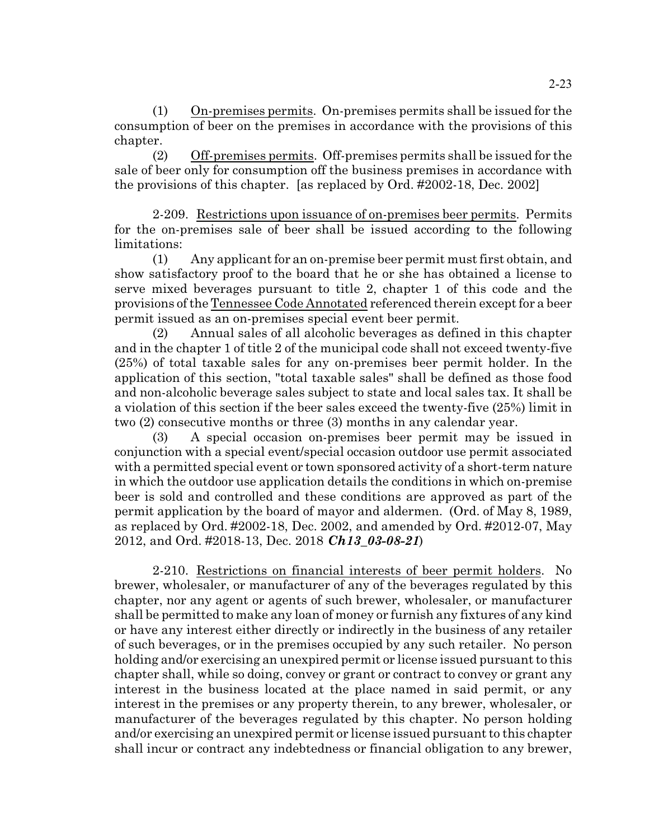(1) On-premises permits. On-premises permits shall be issued for the consumption of beer on the premises in accordance with the provisions of this chapter.

(2) Off-premises permits. Off-premises permits shall be issued for the sale of beer only for consumption off the business premises in accordance with the provisions of this chapter. [as replaced by Ord. #2002-18, Dec. 2002]

2-209. Restrictions upon issuance of on-premises beer permits. Permits for the on-premises sale of beer shall be issued according to the following limitations:

(1) Any applicant for an on-premise beer permit must first obtain, and show satisfactory proof to the board that he or she has obtained a license to serve mixed beverages pursuant to title 2, chapter 1 of this code and the provisions ofthe Tennessee Code Annotated referenced therein except for a beer permit issued as an on-premises special event beer permit.

(2) Annual sales of all alcoholic beverages as defined in this chapter and in the chapter 1 of title 2 of the municipal code shall not exceed twenty-five (25%) of total taxable sales for any on-premises beer permit holder. In the application of this section, "total taxable sales" shall be defined as those food and non-alcoholic beverage sales subject to state and local sales tax. It shall be a violation of this section if the beer sales exceed the twenty-five (25%) limit in two (2) consecutive months or three (3) months in any calendar year.

(3) A special occasion on-premises beer permit may be issued in conjunction with a special event/special occasion outdoor use permit associated with a permitted special event or town sponsored activity of a short-term nature in which the outdoor use application details the conditions in which on-premise beer is sold and controlled and these conditions are approved as part of the permit application by the board of mayor and aldermen. (Ord. of May 8, 1989, as replaced by Ord. #2002-18, Dec. 2002, and amended by Ord. #2012-07, May 2012, and Ord. #2018-13, Dec. 2018 *Ch13\_03-08-21*)

2-210. Restrictions on financial interests of beer permit holders. No brewer, wholesaler, or manufacturer of any of the beverages regulated by this chapter, nor any agent or agents of such brewer, wholesaler, or manufacturer shall be permitted to make any loan of money or furnish any fixtures of any kind or have any interest either directly or indirectly in the business of any retailer of such beverages, or in the premises occupied by any such retailer. No person holding and/or exercising an unexpired permit or license issued pursuant to this chapter shall, while so doing, convey or grant or contract to convey or grant any interest in the business located at the place named in said permit, or any interest in the premises or any property therein, to any brewer, wholesaler, or manufacturer of the beverages regulated by this chapter. No person holding and/or exercising an unexpired permit or license issued pursuant to this chapter shall incur or contract any indebtedness or financial obligation to any brewer,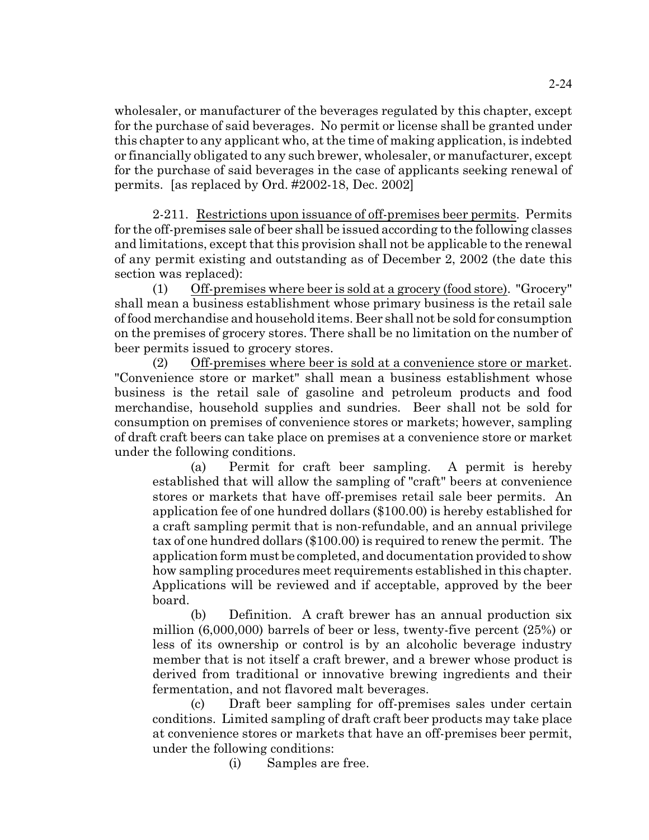wholesaler, or manufacturer of the beverages regulated by this chapter, except for the purchase of said beverages. No permit or license shall be granted under this chapter to any applicant who, at the time of making application, is indebted or financially obligated to any such brewer, wholesaler, or manufacturer, except for the purchase of said beverages in the case of applicants seeking renewal of permits. [as replaced by Ord. #2002-18, Dec. 2002]

2-211. Restrictions upon issuance of off-premises beer permits. Permits for the off-premises sale of beer shall be issued according to the following classes and limitations, except that this provision shall not be applicable to the renewal of any permit existing and outstanding as of December 2, 2002 (the date this section was replaced):

(1) Off-premises where beer is sold at a grocery (food store). "Grocery" shall mean a business establishment whose primary business is the retail sale of food merchandise and household items. Beer shall not be sold for consumption on the premises of grocery stores. There shall be no limitation on the number of beer permits issued to grocery stores.

(2) Off-premises where beer is sold at a convenience store or market. "Convenience store or market" shall mean a business establishment whose business is the retail sale of gasoline and petroleum products and food merchandise, household supplies and sundries. Beer shall not be sold for consumption on premises of convenience stores or markets; however, sampling of draft craft beers can take place on premises at a convenience store or market under the following conditions.

(a) Permit for craft beer sampling. A permit is hereby established that will allow the sampling of "craft" beers at convenience stores or markets that have off-premises retail sale beer permits. An application fee of one hundred dollars (\$100.00) is hereby established for a craft sampling permit that is non-refundable, and an annual privilege tax of one hundred dollars (\$100.00) is required to renew the permit. The application form must be completed, and documentation provided to show how sampling procedures meet requirements established in this chapter. Applications will be reviewed and if acceptable, approved by the beer board.

(b) Definition. A craft brewer has an annual production six million (6,000,000) barrels of beer or less, twenty-five percent (25%) or less of its ownership or control is by an alcoholic beverage industry member that is not itself a craft brewer, and a brewer whose product is derived from traditional or innovative brewing ingredients and their fermentation, and not flavored malt beverages.

(c) Draft beer sampling for off-premises sales under certain conditions. Limited sampling of draft craft beer products may take place at convenience stores or markets that have an off-premises beer permit, under the following conditions:

(i) Samples are free.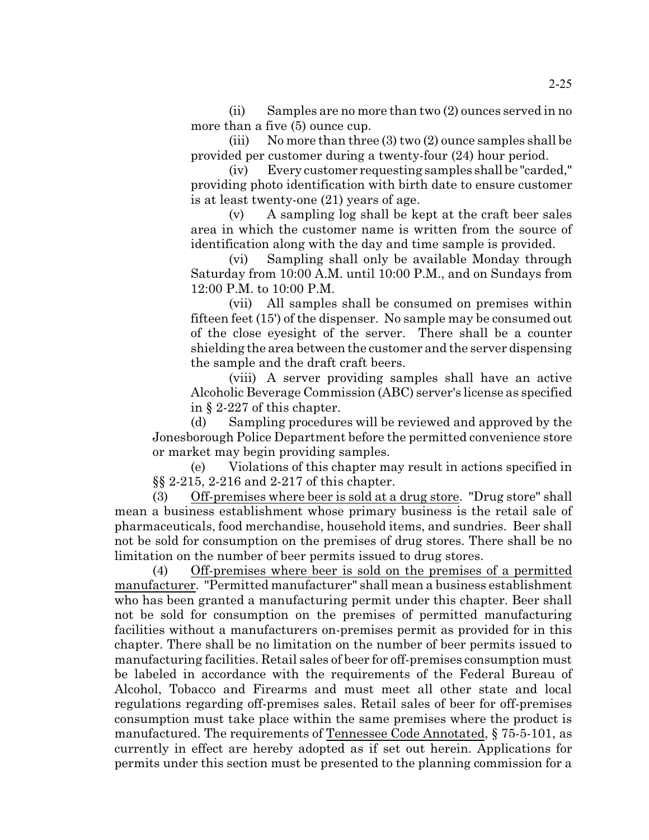(ii) Samples are no more than two (2) ounces served in no more than a five (5) ounce cup.

(iii) No more than three  $(3)$  two  $(2)$  ounce samples shall be provided per customer during a twenty-four (24) hour period.

(iv) Every customer requesting samples shall be "carded," providing photo identification with birth date to ensure customer is at least twenty-one (21) years of age.

(v) A sampling log shall be kept at the craft beer sales area in which the customer name is written from the source of identification along with the day and time sample is provided.

(vi) Sampling shall only be available Monday through Saturday from 10:00 A.M. until 10:00 P.M., and on Sundays from 12:00 P.M. to 10:00 P.M.

(vii) All samples shall be consumed on premises within fifteen feet (15') of the dispenser. No sample may be consumed out of the close eyesight of the server. There shall be a counter shielding the area between the customer and the server dispensing the sample and the draft craft beers.

(viii) A server providing samples shall have an active Alcoholic Beverage Commission (ABC) server's license as specified in § 2-227 of this chapter.

(d) Sampling procedures will be reviewed and approved by the Jonesborough Police Department before the permitted convenience store or market may begin providing samples.

(e) Violations of this chapter may result in actions specified in §§ 2-215, 2-216 and 2-217 of this chapter.

(3) Off-premises where beer is sold at a drug store. "Drug store" shall mean a business establishment whose primary business is the retail sale of pharmaceuticals, food merchandise, household items, and sundries. Beer shall not be sold for consumption on the premises of drug stores. There shall be no limitation on the number of beer permits issued to drug stores.

(4) Off-premises where beer is sold on the premises of a permitted manufacturer. "Permitted manufacturer" shall mean a business establishment who has been granted a manufacturing permit under this chapter. Beer shall not be sold for consumption on the premises of permitted manufacturing facilities without a manufacturers on-premises permit as provided for in this chapter. There shall be no limitation on the number of beer permits issued to manufacturing facilities. Retail sales of beer for off-premises consumption must be labeled in accordance with the requirements of the Federal Bureau of Alcohol, Tobacco and Firearms and must meet all other state and local regulations regarding off-premises sales. Retail sales of beer for off-premises consumption must take place within the same premises where the product is manufactured. The requirements of Tennessee Code Annotated, § 75-5-101, as currently in effect are hereby adopted as if set out herein. Applications for permits under this section must be presented to the planning commission for a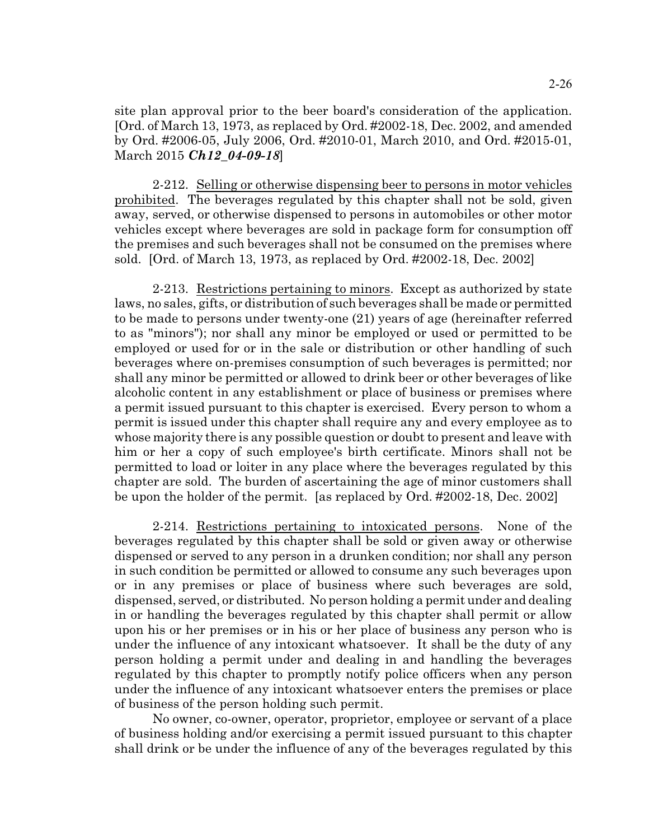site plan approval prior to the beer board's consideration of the application. [Ord. of March 13, 1973, as replaced by Ord. #2002-18, Dec. 2002, and amended by Ord. #2006-05, July 2006, Ord. #2010-01, March 2010, and Ord. #2015-01, March 2015 *Ch12\_04-09-18*]

2-212. Selling or otherwise dispensing beer to persons in motor vehicles prohibited. The beverages regulated by this chapter shall not be sold, given away, served, or otherwise dispensed to persons in automobiles or other motor vehicles except where beverages are sold in package form for consumption off the premises and such beverages shall not be consumed on the premises where sold. [Ord. of March 13, 1973, as replaced by Ord. #2002-18, Dec. 2002]

2-213. Restrictions pertaining to minors. Except as authorized by state laws, no sales, gifts, or distribution of such beverages shall be made or permitted to be made to persons under twenty-one (21) years of age (hereinafter referred to as "minors"); nor shall any minor be employed or used or permitted to be employed or used for or in the sale or distribution or other handling of such beverages where on-premises consumption of such beverages is permitted; nor shall any minor be permitted or allowed to drink beer or other beverages of like alcoholic content in any establishment or place of business or premises where a permit issued pursuant to this chapter is exercised. Every person to whom a permit is issued under this chapter shall require any and every employee as to whose majority there is any possible question or doubt to present and leave with him or her a copy of such employee's birth certificate. Minors shall not be permitted to load or loiter in any place where the beverages regulated by this chapter are sold. The burden of ascertaining the age of minor customers shall be upon the holder of the permit. [as replaced by Ord. #2002-18, Dec. 2002]

2-214. Restrictions pertaining to intoxicated persons. None of the beverages regulated by this chapter shall be sold or given away or otherwise dispensed or served to any person in a drunken condition; nor shall any person in such condition be permitted or allowed to consume any such beverages upon or in any premises or place of business where such beverages are sold, dispensed, served, or distributed. No person holding a permit under and dealing in or handling the beverages regulated by this chapter shall permit or allow upon his or her premises or in his or her place of business any person who is under the influence of any intoxicant whatsoever. It shall be the duty of any person holding a permit under and dealing in and handling the beverages regulated by this chapter to promptly notify police officers when any person under the influence of any intoxicant whatsoever enters the premises or place of business of the person holding such permit.

No owner, co-owner, operator, proprietor, employee or servant of a place of business holding and/or exercising a permit issued pursuant to this chapter shall drink or be under the influence of any of the beverages regulated by this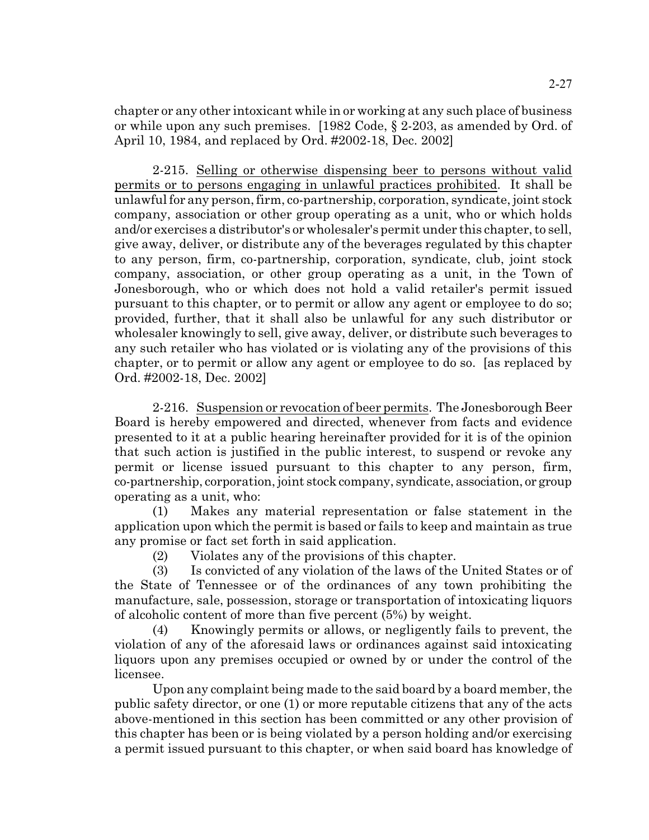chapter or any other intoxicant while in or working at any such place of business or while upon any such premises. [1982 Code, § 2-203, as amended by Ord. of April 10, 1984, and replaced by Ord. #2002-18, Dec. 2002]

2-215. Selling or otherwise dispensing beer to persons without valid permits or to persons engaging in unlawful practices prohibited. It shall be unlawful for any person, firm, co-partnership, corporation, syndicate, joint stock company, association or other group operating as a unit, who or which holds and/or exercises a distributor's or wholesaler's permit under this chapter, to sell, give away, deliver, or distribute any of the beverages regulated by this chapter to any person, firm, co-partnership, corporation, syndicate, club, joint stock company, association, or other group operating as a unit, in the Town of Jonesborough, who or which does not hold a valid retailer's permit issued pursuant to this chapter, or to permit or allow any agent or employee to do so; provided, further, that it shall also be unlawful for any such distributor or wholesaler knowingly to sell, give away, deliver, or distribute such beverages to any such retailer who has violated or is violating any of the provisions of this chapter, or to permit or allow any agent or employee to do so. [as replaced by Ord. #2002-18, Dec. 2002]

2-216. Suspension or revocation of beer permits. The Jonesborough Beer Board is hereby empowered and directed, whenever from facts and evidence presented to it at a public hearing hereinafter provided for it is of the opinion that such action is justified in the public interest, to suspend or revoke any permit or license issued pursuant to this chapter to any person, firm, co-partnership, corporation, joint stock company, syndicate, association, or group operating as a unit, who:

(1) Makes any material representation or false statement in the application upon which the permit is based or fails to keep and maintain as true any promise or fact set forth in said application.

(2) Violates any of the provisions of this chapter.

(3) Is convicted of any violation of the laws of the United States or of the State of Tennessee or of the ordinances of any town prohibiting the manufacture, sale, possession, storage or transportation of intoxicating liquors of alcoholic content of more than five percent (5%) by weight.

(4) Knowingly permits or allows, or negligently fails to prevent, the violation of any of the aforesaid laws or ordinances against said intoxicating liquors upon any premises occupied or owned by or under the control of the licensee.

Upon any complaint being made to the said board by a board member, the public safety director, or one (1) or more reputable citizens that any of the acts above-mentioned in this section has been committed or any other provision of this chapter has been or is being violated by a person holding and/or exercising a permit issued pursuant to this chapter, or when said board has knowledge of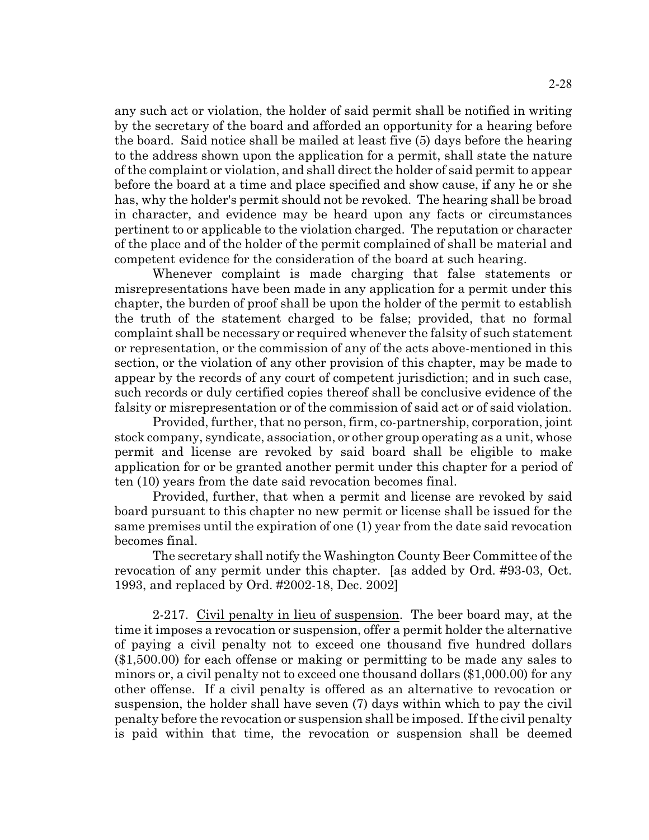any such act or violation, the holder of said permit shall be notified in writing by the secretary of the board and afforded an opportunity for a hearing before the board. Said notice shall be mailed at least five (5) days before the hearing to the address shown upon the application for a permit, shall state the nature of the complaint or violation, and shall direct the holder of said permit to appear before the board at a time and place specified and show cause, if any he or she has, why the holder's permit should not be revoked. The hearing shall be broad in character, and evidence may be heard upon any facts or circumstances pertinent to or applicable to the violation charged. The reputation or character of the place and of the holder of the permit complained of shall be material and competent evidence for the consideration of the board at such hearing.

Whenever complaint is made charging that false statements or misrepresentations have been made in any application for a permit under this chapter, the burden of proof shall be upon the holder of the permit to establish the truth of the statement charged to be false; provided, that no formal complaint shall be necessary or required whenever the falsity of such statement or representation, or the commission of any of the acts above-mentioned in this section, or the violation of any other provision of this chapter, may be made to appear by the records of any court of competent jurisdiction; and in such case, such records or duly certified copies thereof shall be conclusive evidence of the falsity or misrepresentation or of the commission of said act or of said violation.

Provided, further, that no person, firm, co-partnership, corporation, joint stock company, syndicate, association, or other group operating as a unit, whose permit and license are revoked by said board shall be eligible to make application for or be granted another permit under this chapter for a period of ten (10) years from the date said revocation becomes final.

Provided, further, that when a permit and license are revoked by said board pursuant to this chapter no new permit or license shall be issued for the same premises until the expiration of one (1) year from the date said revocation becomes final.

The secretary shall notify the Washington County Beer Committee of the revocation of any permit under this chapter. [as added by Ord. #93-03, Oct. 1993, and replaced by Ord. #2002-18, Dec. 2002]

2-217. Civil penalty in lieu of suspension. The beer board may, at the time it imposes a revocation or suspension, offer a permit holder the alternative of paying a civil penalty not to exceed one thousand five hundred dollars (\$1,500.00) for each offense or making or permitting to be made any sales to minors or, a civil penalty not to exceed one thousand dollars (\$1,000.00) for any other offense. If a civil penalty is offered as an alternative to revocation or suspension, the holder shall have seven (7) days within which to pay the civil penalty before the revocation or suspension shall be imposed. If the civil penalty is paid within that time, the revocation or suspension shall be deemed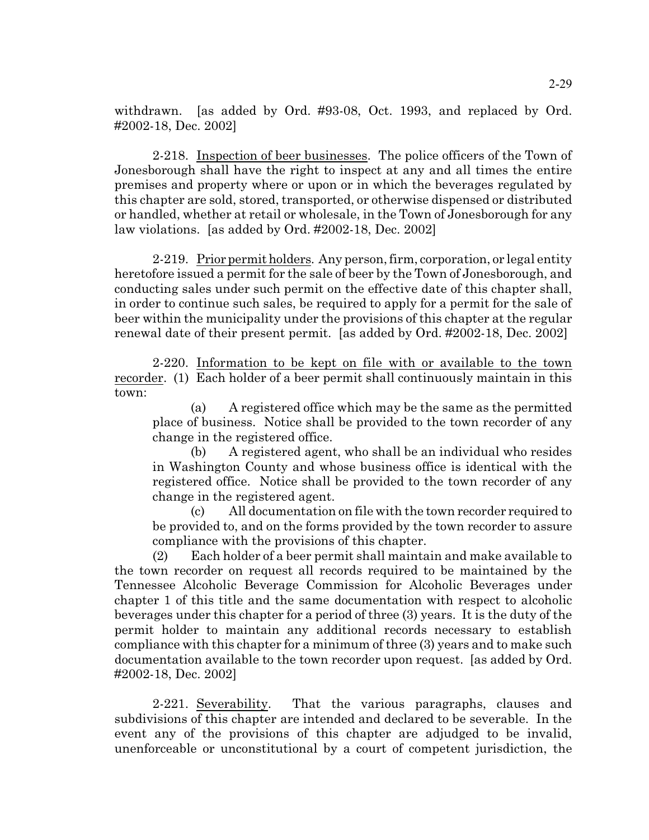withdrawn. [as added by Ord. #93-08, Oct. 1993, and replaced by Ord. #2002-18, Dec. 2002]

2-218. Inspection of beer businesses. The police officers of the Town of Jonesborough shall have the right to inspect at any and all times the entire premises and property where or upon or in which the beverages regulated by this chapter are sold, stored, transported, or otherwise dispensed or distributed or handled, whether at retail or wholesale, in the Town of Jonesborough for any law violations. [as added by Ord. #2002-18, Dec. 2002]

2-219. Prior permit holders. Any person, firm, corporation, or legal entity heretofore issued a permit for the sale of beer by the Town of Jonesborough, and conducting sales under such permit on the effective date of this chapter shall, in order to continue such sales, be required to apply for a permit for the sale of beer within the municipality under the provisions of this chapter at the regular renewal date of their present permit. [as added by Ord. #2002-18, Dec. 2002]

2-220. Information to be kept on file with or available to the town recorder. (1) Each holder of a beer permit shall continuously maintain in this town:

(a) A registered office which may be the same as the permitted place of business. Notice shall be provided to the town recorder of any change in the registered office.

(b) A registered agent, who shall be an individual who resides in Washington County and whose business office is identical with the registered office. Notice shall be provided to the town recorder of any change in the registered agent.

(c) All documentation on file with the town recorder required to be provided to, and on the forms provided by the town recorder to assure compliance with the provisions of this chapter.

(2) Each holder of a beer permit shall maintain and make available to the town recorder on request all records required to be maintained by the Tennessee Alcoholic Beverage Commission for Alcoholic Beverages under chapter 1 of this title and the same documentation with respect to alcoholic beverages under this chapter for a period of three (3) years. It is the duty of the permit holder to maintain any additional records necessary to establish compliance with this chapter for a minimum of three (3) years and to make such documentation available to the town recorder upon request. [as added by Ord. #2002-18, Dec. 2002]

2-221. Severability. That the various paragraphs, clauses and subdivisions of this chapter are intended and declared to be severable. In the event any of the provisions of this chapter are adjudged to be invalid, unenforceable or unconstitutional by a court of competent jurisdiction, the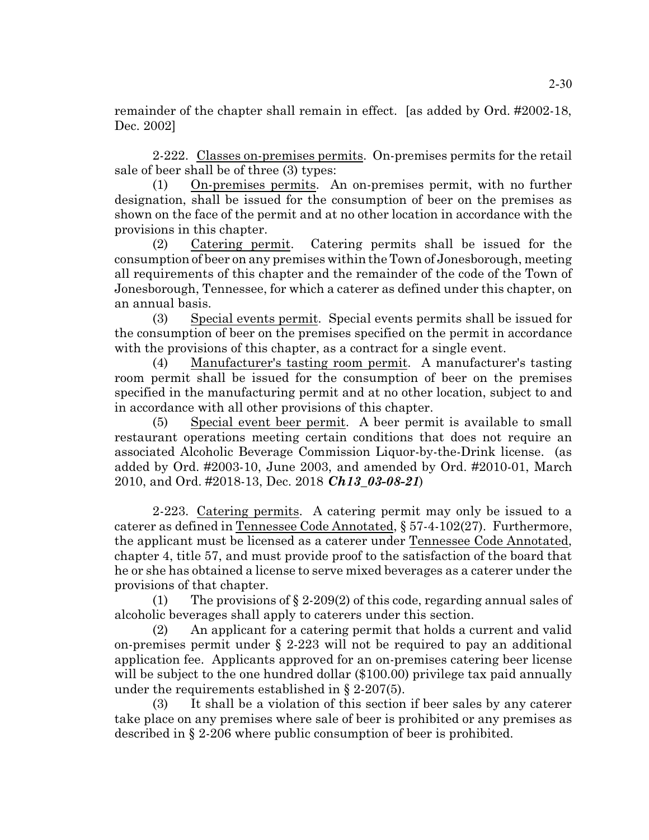remainder of the chapter shall remain in effect. [as added by Ord. #2002-18, Dec. 2002]

2-222. Classes on-premises permits. On-premises permits for the retail sale of beer shall be of three (3) types:

(1) On-premises permits. An on-premises permit, with no further designation, shall be issued for the consumption of beer on the premises as shown on the face of the permit and at no other location in accordance with the provisions in this chapter.

(2) Catering permit. Catering permits shall be issued for the consumption of beer on any premises within the Town of Jonesborough, meeting all requirements of this chapter and the remainder of the code of the Town of Jonesborough, Tennessee, for which a caterer as defined under this chapter, on an annual basis.

(3) Special events permit. Special events permits shall be issued for the consumption of beer on the premises specified on the permit in accordance with the provisions of this chapter, as a contract for a single event.

(4) Manufacturer's tasting room permit. A manufacturer's tasting room permit shall be issued for the consumption of beer on the premises specified in the manufacturing permit and at no other location, subject to and in accordance with all other provisions of this chapter.

(5) Special event beer permit. A beer permit is available to small restaurant operations meeting certain conditions that does not require an associated Alcoholic Beverage Commission Liquor-by-the-Drink license. (as added by Ord. #2003-10, June 2003, and amended by Ord. #2010-01, March 2010, and Ord. #2018-13, Dec. 2018 *Ch13\_03-08-21*)

2-223. Catering permits. A catering permit may only be issued to a caterer as defined in Tennessee Code Annotated, § 57-4-102(27). Furthermore, the applicant must be licensed as a caterer under Tennessee Code Annotated, chapter 4, title 57, and must provide proof to the satisfaction of the board that he or she has obtained a license to serve mixed beverages as a caterer under the provisions of that chapter.

(1) The provisions of  $\S 2-209(2)$  of this code, regarding annual sales of alcoholic beverages shall apply to caterers under this section.

(2) An applicant for a catering permit that holds a current and valid on-premises permit under § 2-223 will not be required to pay an additional application fee. Applicants approved for an on-premises catering beer license will be subject to the one hundred dollar (\$100.00) privilege tax paid annually under the requirements established in  $\S$  2-207(5).

(3) It shall be a violation of this section if beer sales by any caterer take place on any premises where sale of beer is prohibited or any premises as described in § 2-206 where public consumption of beer is prohibited.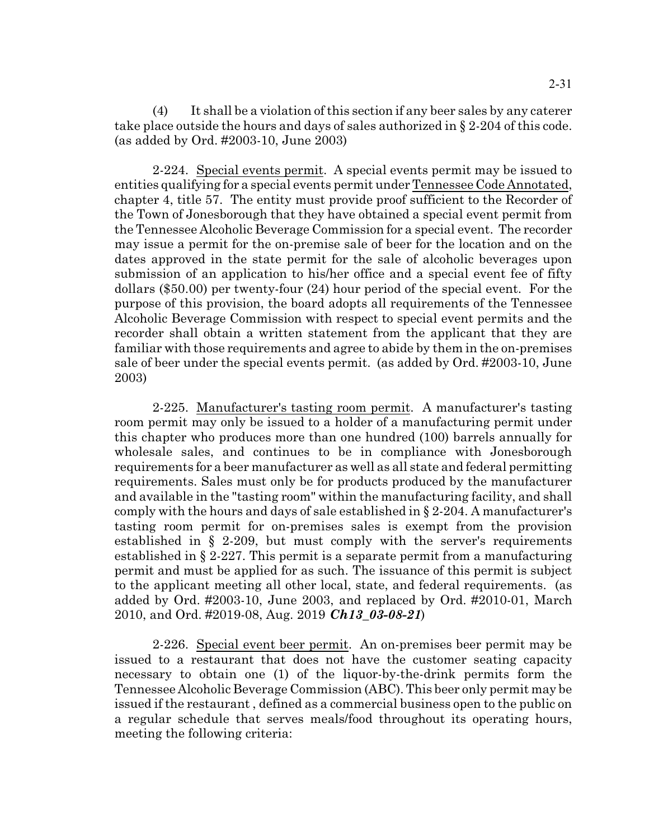(4) It shall be a violation of this section if any beer sales by any caterer take place outside the hours and days of sales authorized in § 2-204 of this code. (as added by Ord. #2003-10, June 2003)

2-224. Special events permit. A special events permit may be issued to entities qualifying for a special events permit under Tennessee Code Annotated, chapter 4, title 57. The entity must provide proof sufficient to the Recorder of the Town of Jonesborough that they have obtained a special event permit from the Tennessee Alcoholic Beverage Commission for a special event. The recorder may issue a permit for the on-premise sale of beer for the location and on the dates approved in the state permit for the sale of alcoholic beverages upon submission of an application to his/her office and a special event fee of fifty dollars (\$50.00) per twenty-four (24) hour period of the special event. For the purpose of this provision, the board adopts all requirements of the Tennessee Alcoholic Beverage Commission with respect to special event permits and the recorder shall obtain a written statement from the applicant that they are familiar with those requirements and agree to abide by them in the on-premises sale of beer under the special events permit. (as added by Ord. #2003-10, June 2003)

2-225. Manufacturer's tasting room permit. A manufacturer's tasting room permit may only be issued to a holder of a manufacturing permit under this chapter who produces more than one hundred (100) barrels annually for wholesale sales, and continues to be in compliance with Jonesborough requirements for a beer manufacturer as well as all state and federal permitting requirements. Sales must only be for products produced by the manufacturer and available in the "tasting room" within the manufacturing facility, and shall comply with the hours and days of sale established in § 2-204. A manufacturer's tasting room permit for on-premises sales is exempt from the provision established in § 2-209, but must comply with the server's requirements established in § 2-227. This permit is a separate permit from a manufacturing permit and must be applied for as such. The issuance of this permit is subject to the applicant meeting all other local, state, and federal requirements. (as added by Ord. #2003-10, June 2003, and replaced by Ord. #2010-01, March 2010, and Ord. #2019-08, Aug. 2019 *Ch13\_03-08-21*)

2-226. Special event beer permit. An on-premises beer permit may be issued to a restaurant that does not have the customer seating capacity necessary to obtain one (1) of the liquor-by-the-drink permits form the Tennessee Alcoholic Beverage Commission (ABC). This beer only permit may be issued if the restaurant , defined as a commercial business open to the public on a regular schedule that serves meals/food throughout its operating hours, meeting the following criteria: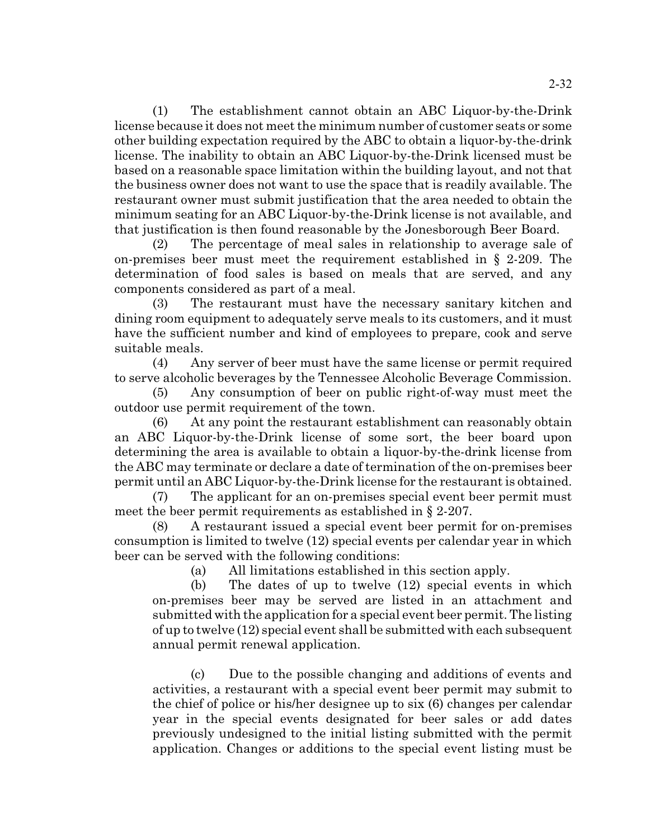(1) The establishment cannot obtain an ABC Liquor-by-the-Drink license because it does not meet the minimum number of customer seats or some other building expectation required by the ABC to obtain a liquor-by-the-drink license. The inability to obtain an ABC Liquor-by-the-Drink licensed must be based on a reasonable space limitation within the building layout, and not that the business owner does not want to use the space that is readily available. The restaurant owner must submit justification that the area needed to obtain the minimum seating for an ABC Liquor-by-the-Drink license is not available, and that justification is then found reasonable by the Jonesborough Beer Board.

(2) The percentage of meal sales in relationship to average sale of on-premises beer must meet the requirement established in § 2-209. The determination of food sales is based on meals that are served, and any components considered as part of a meal.

(3) The restaurant must have the necessary sanitary kitchen and dining room equipment to adequately serve meals to its customers, and it must have the sufficient number and kind of employees to prepare, cook and serve suitable meals.

(4) Any server of beer must have the same license or permit required to serve alcoholic beverages by the Tennessee Alcoholic Beverage Commission.

(5) Any consumption of beer on public right-of-way must meet the outdoor use permit requirement of the town.

(6) At any point the restaurant establishment can reasonably obtain an ABC Liquor-by-the-Drink license of some sort, the beer board upon determining the area is available to obtain a liquor-by-the-drink license from the ABC may terminate or declare a date of termination of the on-premises beer permit until an ABC Liquor-by-the-Drink license for the restaurant is obtained.

(7) The applicant for an on-premises special event beer permit must meet the beer permit requirements as established in § 2-207.

(8) A restaurant issued a special event beer permit for on-premises consumption is limited to twelve (12) special events per calendar year in which beer can be served with the following conditions:

(a) All limitations established in this section apply.

(b) The dates of up to twelve (12) special events in which on-premises beer may be served are listed in an attachment and submitted with the application for a special event beer permit. The listing of up to twelve (12) special event shall be submitted with each subsequent annual permit renewal application.

(c) Due to the possible changing and additions of events and activities, a restaurant with a special event beer permit may submit to the chief of police or his/her designee up to six (6) changes per calendar year in the special events designated for beer sales or add dates previously undesigned to the initial listing submitted with the permit application. Changes or additions to the special event listing must be